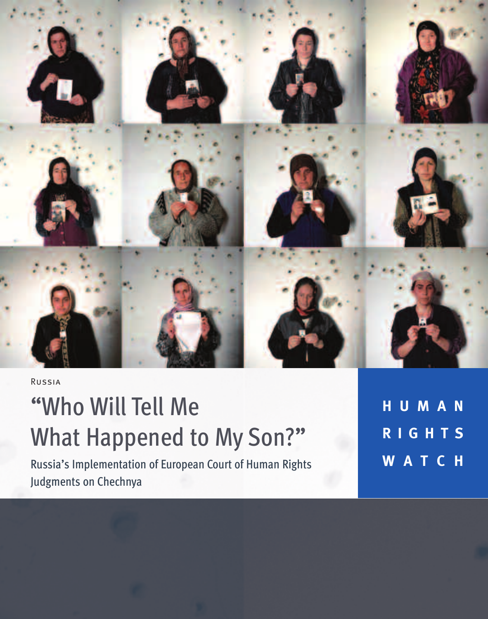

Russia

# "Who Will Tell Me What Happened to My Son?"

Russia's Implementation of European Court of Human Rights Judgments on Chechnya

**H U M A N R I G H T S W A T C H**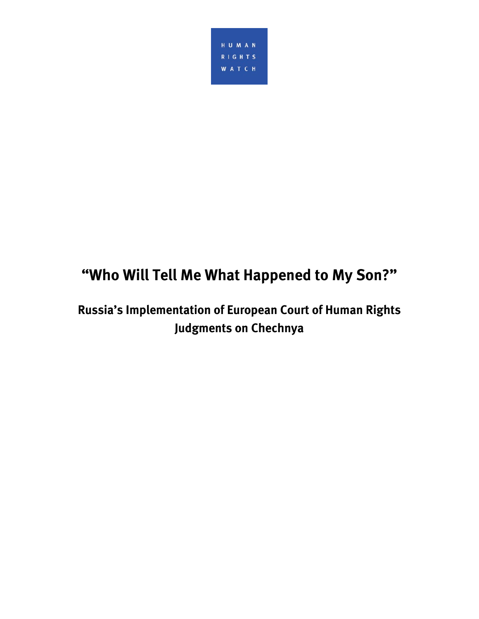

# **"Who Will Tell Me What Happened to My Son?"**

**Russia's Implementation of European Court of Human Rights Judgments on Chechnya**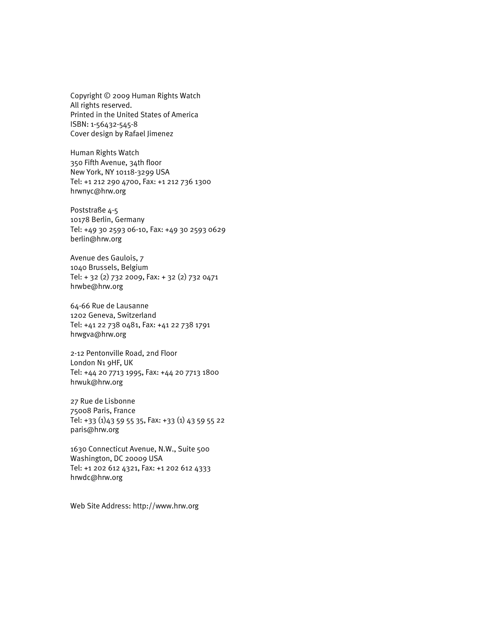Copyright © 2009 Human Rights Watch All rights reserved. Printed in the United States of America ISBN: 1-56432-545-8 Cover design by Rafael Jimenez

Human Rights Watch 350 Fifth Avenue, 34th floor New York, NY 10118-3299 USA Tel: +1 212 290 4700, Fax: +1 212 736 1300 hrwnyc@hrw.org

Poststraße 4-5 10178 Berlin, Germany Tel: +49 30 2593 06-10, Fax: +49 30 2593 0629 berlin@hrw.org

Avenue des Gaulois, 7 1040 Brussels, Belgium Tel: + 32 (2) 732 2009, Fax: + 32 (2) 732 0471 hrwbe@hrw.org

64-66 Rue de Lausanne 1202 Geneva, Switzerland Tel: +41 22 738 0481, Fax: +41 22 738 1791 hrwgva@hrw.org

2-12 Pentonville Road, 2nd Floor London N1 9HF, UK Tel: +44 20 7713 1995, Fax: +44 20 7713 1800 hrwuk@hrw.org

27 Rue de Lisbonne 75008 Paris, France Tel: +33 (1)43 59 55 35, Fax: +33 (1) 43 59 55 22 paris@hrw.org

1630 Connecticut Avenue, N.W., Suite 500 Washington, DC 20009 USA Tel: +1 202 612 4321, Fax: +1 202 612 4333 hrwdc@hrw.org

Web Site Address: http://www.hrw.org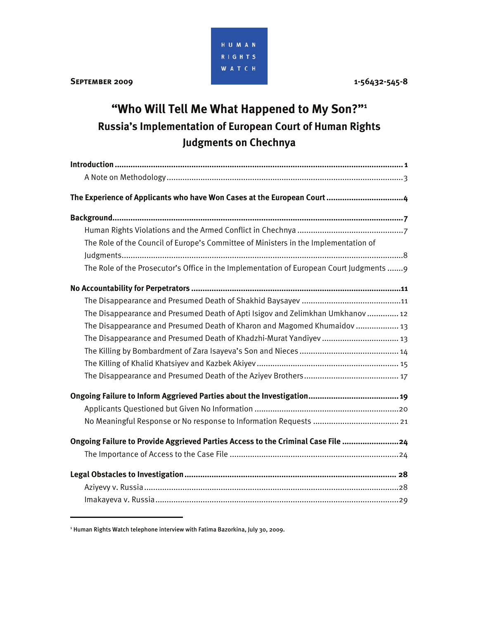

**September 2009 1-56432-545-8** 

# **"Who Will Tell Me What Happened to My Son?"1 Russia's Implementation of European Court of Human Rights Judgments on Chechnya**

| The Role of the Council of Europe's Committee of Ministers in the Implementation of   |
|---------------------------------------------------------------------------------------|
|                                                                                       |
| The Role of the Prosecutor's Office in the Implementation of European Court Judgments |
|                                                                                       |
|                                                                                       |
| The Disappearance and Presumed Death of Apti Isigov and Zelimkhan Umkhanov 12         |
| The Disappearance and Presumed Death of Kharon and Magomed Khumaidov  13              |
|                                                                                       |
|                                                                                       |
|                                                                                       |
|                                                                                       |
|                                                                                       |
|                                                                                       |
|                                                                                       |
| Ongoing Failure to Provide Aggrieved Parties Access to the Criminal Case File 24      |
|                                                                                       |
|                                                                                       |
|                                                                                       |
|                                                                                       |

<sup>1</sup> Human Rights Watch telephone interview with Fatima Bazorkina, July 30, 2009.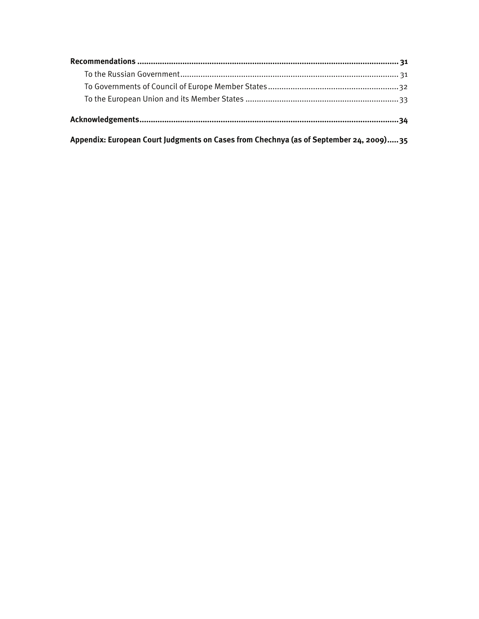**Appendix: European Court Judgments on Cases from Chechnya (as of September 24, 2009) ..... 35**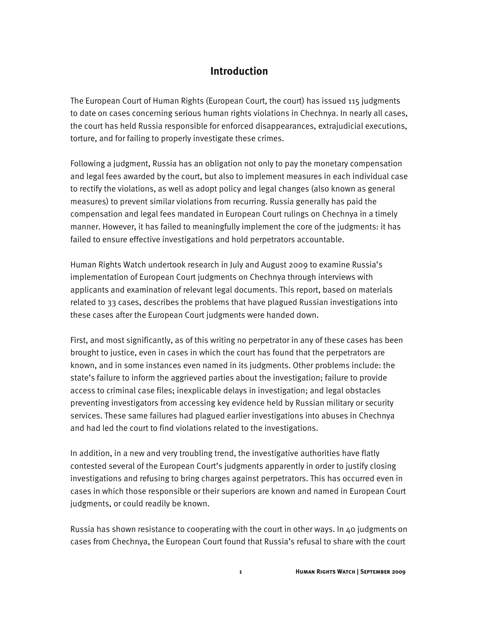#### **Introduction**

The European Court of Human Rights (European Court, the court) has issued 115 judgments to date on cases concerning serious human rights violations in Chechnya. In nearly all cases, the court has held Russia responsible for enforced disappearances, extrajudicial executions, torture, and for failing to properly investigate these crimes.

Following a judgment, Russia has an obligation not only to pay the monetary compensation and legal fees awarded by the court, but also to implement measures in each individual case to rectify the violations, as well as adopt policy and legal changes (also known as general measures) to prevent similar violations from recurring. Russia generally has paid the compensation and legal fees mandated in European Court rulings on Chechnya in a timely manner. However, it has failed to meaningfully implement the core of the judgments: it has failed to ensure effective investigations and hold perpetrators accountable.

Human Rights Watch undertook research in July and August 2009 to examine Russia's implementation of European Court judgments on Chechnya through interviews with applicants and examination of relevant legal documents. This report, based on materials related to 33 cases, describes the problems that have plagued Russian investigations into these cases after the European Court judgments were handed down.

First, and most significantly, as of this writing no perpetrator in any of these cases has been brought to justice, even in cases in which the court has found that the perpetrators are known, and in some instances even named in its judgments. Other problems include: the state's failure to inform the aggrieved parties about the investigation; failure to provide access to criminal case files; inexplicable delays in investigation; and legal obstacles preventing investigators from accessing key evidence held by Russian military or security services. These same failures had plagued earlier investigations into abuses in Chechnya and had led the court to find violations related to the investigations.

In addition, in a new and very troubling trend, the investigative authorities have flatly contested several of the European Court's judgments apparently in order to justify closing investigations and refusing to bring charges against perpetrators. This has occurred even in cases in which those responsible or their superiors are known and named in European Court judgments, or could readily be known.

Russia has shown resistance to cooperating with the court in other ways. In 40 judgments on cases from Chechnya, the European Court found that Russia's refusal to share with the court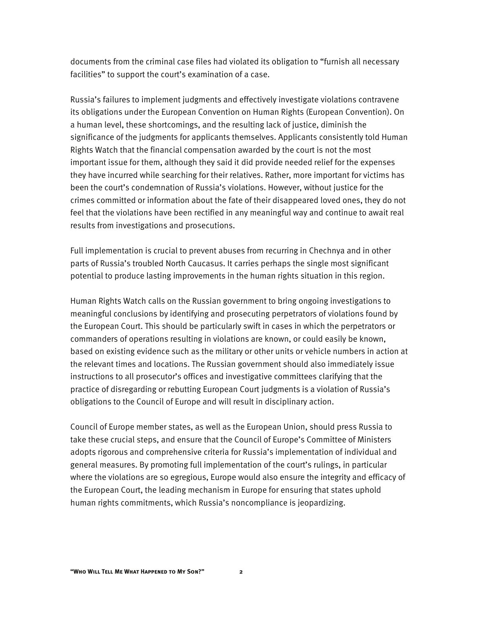documents from the criminal case files had violated its obligation to "furnish all necessary facilities" to support the court's examination of a case.

Russia's failures to implement judgments and effectively investigate violations contravene its obligations under the European Convention on Human Rights (European Convention). On a human level, these shortcomings, and the resulting lack of justice, diminish the significance of the judgments for applicants themselves. Applicants consistently told Human Rights Watch that the financial compensation awarded by the court is not the most important issue for them, although they said it did provide needed relief for the expenses they have incurred while searching for their relatives. Rather, more important for victims has been the court's condemnation of Russia's violations. However, without justice for the crimes committed or information about the fate of their disappeared loved ones, they do not feel that the violations have been rectified in any meaningful way and continue to await real results from investigations and prosecutions.

Full implementation is crucial to prevent abuses from recurring in Chechnya and in other parts of Russia's troubled North Caucasus. It carries perhaps the single most significant potential to produce lasting improvements in the human rights situation in this region.

Human Rights Watch calls on the Russian government to bring ongoing investigations to meaningful conclusions by identifying and prosecuting perpetrators of violations found by the European Court. This should be particularly swift in cases in which the perpetrators or commanders of operations resulting in violations are known, or could easily be known, based on existing evidence such as the military or other units or vehicle numbers in action at the relevant times and locations. The Russian government should also immediately issue instructions to all prosecutor's offices and investigative committees clarifying that the practice of disregarding or rebutting European Court judgments is a violation of Russia's obligations to the Council of Europe and will result in disciplinary action.

Council of Europe member states, as well as the European Union, should press Russia to take these crucial steps, and ensure that the Council of Europe's Committee of Ministers adopts rigorous and comprehensive criteria for Russia's implementation of individual and general measures. By promoting full implementation of the court's rulings, in particular where the violations are so egregious, Europe would also ensure the integrity and efficacy of the European Court, the leading mechanism in Europe for ensuring that states uphold human rights commitments, which Russia's noncompliance is jeopardizing.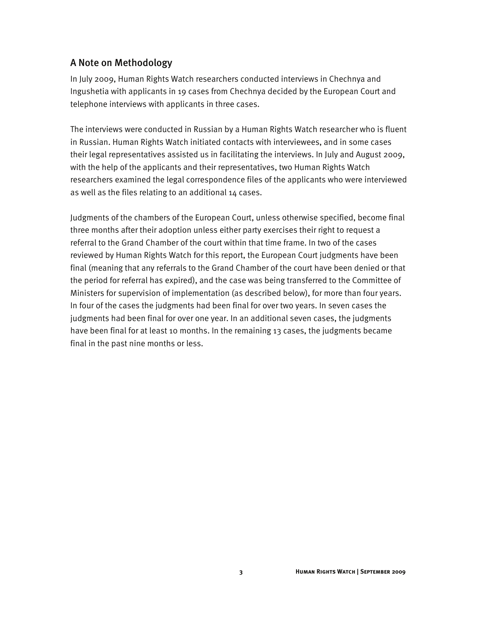#### A Note on Methodology

In July 2009, Human Rights Watch researchers conducted interviews in Chechnya and Ingushetia with applicants in 19 cases from Chechnya decided by the European Court and telephone interviews with applicants in three cases.

The interviews were conducted in Russian by a Human Rights Watch researcher who is fluent in Russian. Human Rights Watch initiated contacts with interviewees, and in some cases their legal representatives assisted us in facilitating the interviews. In July and August 2009, with the help of the applicants and their representatives, two Human Rights Watch researchers examined the legal correspondence files of the applicants who were interviewed as well as the files relating to an additional 14 cases.

Judgments of the chambers of the European Court, unless otherwise specified, become final three months after their adoption unless either party exercises their right to request a referral to the Grand Chamber of the court within that time frame. In two of the cases reviewed by Human Rights Watch for this report, the European Court judgments have been final (meaning that any referrals to the Grand Chamber of the court have been denied or that the period for referral has expired), and the case was being transferred to the Committee of Ministers for supervision of implementation (as described below), for more than four years. In four of the cases the judgments had been final for over two years. In seven cases the judgments had been final for over one year. In an additional seven cases, the judgments have been final for at least 10 months. In the remaining 13 cases, the judgments became final in the past nine months or less.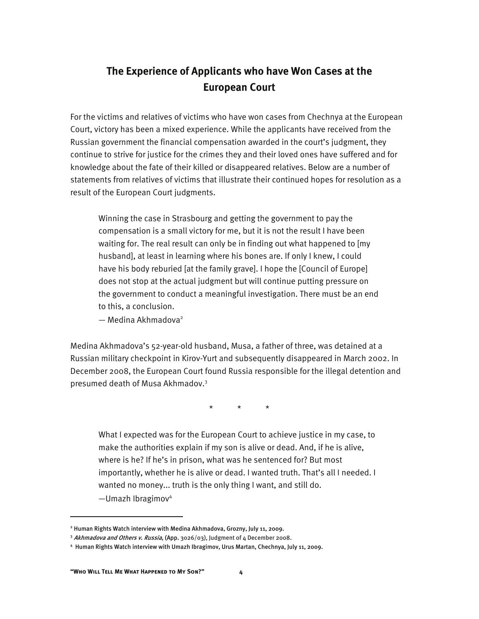### **The Experience of Applicants who have Won Cases at the European Court**

For the victims and relatives of victims who have won cases from Chechnya at the European Court, victory has been a mixed experience. While the applicants have received from the Russian government the financial compensation awarded in the court's judgment, they continue to strive for justice for the crimes they and their loved ones have suffered and for knowledge about the fate of their killed or disappeared relatives. Below are a number of statements from relatives of victims that illustrate their continued hopes for resolution as a result of the European Court judgments.

Winning the case in Strasbourg and getting the government to pay the compensation is a small victory for me, but it is not the result I have been waiting for. The real result can only be in finding out what happened to [my husband], at least in learning where his bones are. If only I knew, I could have his body reburied [at the family grave]. I hope the [Council of Europe] does not stop at the actual judgment but will continue putting pressure on the government to conduct a meaningful investigation. There must be an end to this, a conclusion.

— Medina Akhmadova<sup>2</sup>

Medina Akhmadova's 52-year-old husband, Musa, a father of three, was detained at a Russian military checkpoint in Kirov-Yurt and subsequently disappeared in March 2002. In December 2008, the European Court found Russia responsible for the illegal detention and presumed death of Musa Akhmadov.<sup>3</sup>

 $\star$   $\star$ 

What I expected was for the European Court to achieve justice in my case, to make the authorities explain if my son is alive or dead. And, if he is alive, where is he? If he's in prison, what was he sentenced for? But most importantly, whether he is alive or dead. I wanted truth. That's all I needed. I wanted no money... truth is the only thing I want, and still do.  $-$ Umazh Ibragimov<sup>4</sup>

<sup>2</sup> Human Rights Watch interview with Medina Akhmadova, Grozny, July 11, 2009.

<sup>&</sup>lt;sup>3</sup> Akhmadova and Others v. Russia, (App. 3026/03), Judgment of 4 December 2008.

<sup>4</sup> Human Rights Watch interview with Umazh Ibragimov, Urus Martan, Chechnya, July 11, 2009.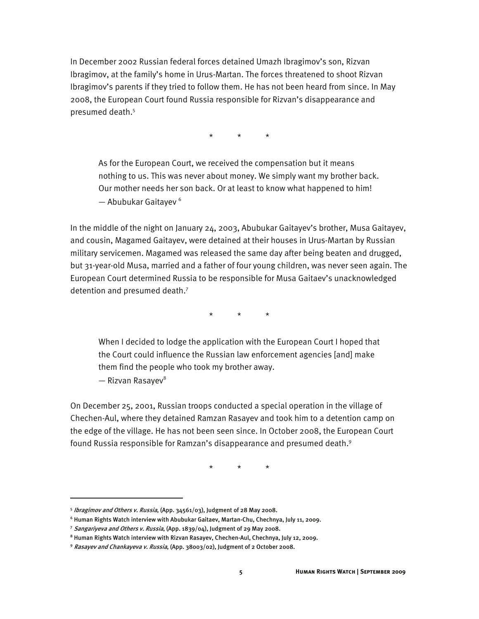In December 2002 Russian federal forces detained Umazh Ibragimov's son, Rizvan Ibragimov, at the family's home in Urus-Martan. The forces threatened to shoot Rizvan Ibragimov's parents if they tried to follow them. He has not been heard from since. In May 2008, the European Court found Russia responsible for Rizvan's disappearance and presumed death.<sup>5</sup>

\* \* \*

As for the European Court, we received the compensation but it means nothing to us. This was never about money. We simply want my brother back. Our mother needs her son back. Or at least to know what happened to him! — Abubukar Gaitayev<sup>6</sup>

In the middle of the night on January 24, 2003, Abubukar Gaitayev's brother, Musa Gaitayev, and cousin, Magamed Gaitayev, were detained at their houses in Urus-Martan by Russian military servicemen. Magamed was released the same day after being beaten and drugged, but 31-year-old Musa, married and a father of four young children, was never seen again. The European Court determined Russia to be responsible for Musa Gaitaev's unacknowledged detention and presumed death.<sup>7</sup>

\* \* \*

When I decided to lodge the application with the European Court I hoped that the Court could influence the Russian law enforcement agencies [and] make them find the people who took my brother away.

— Rizvan Rasayev $^{\rm 8}$ 

j

On December 25, 2001, Russian troops conducted a special operation in the village of Chechen-Aul, where they detained Ramzan Rasayev and took him to a detention camp on the edge of the village. He has not been seen since. In October 2008, the European Court found Russia responsible for Ramzan's disappearance and presumed death.<sup>9</sup>

\* \* \*

<sup>5</sup> Ibragimov and Others v. Russia, (App. 34561/03), Judgment of 28 May 2008.

<sup>6</sup> Human Rights Watch interview with Abubukar Gaitaev, Martan-Chu, Chechnya, July 11, 2009.

<sup>&</sup>lt;sup>7</sup> Sangariyeva and Others v. Russia, (App. 1839/04), Judgment of 29 May 2008.

<sup>8</sup> Human Rights Watch interview with Rizvan Rasayev, Chechen-Aul, Chechnya, July 12, 2009.

<sup>&</sup>lt;sup>9</sup> Rasayev and Chankayeva v. Russia, (App. 38003/02), Judgment of 2 October 2008.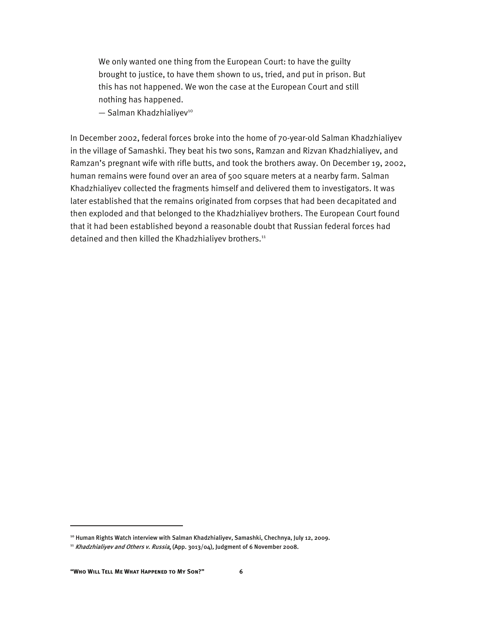We only wanted one thing from the European Court: to have the guilty brought to justice, to have them shown to us, tried, and put in prison. But this has not happened. We won the case at the European Court and still nothing has happened.

 $-$  Salman Khadzhialiyev<sup>10</sup>

In December 2002, federal forces broke into the home of 70-year-old Salman Khadzhialiyev in the village of Samashki. They beat his two sons, Ramzan and Rizvan Khadzhialiyev, and Ramzan's pregnant wife with rifle butts, and took the brothers away. On December 19, 2002, human remains were found over an area of 500 square meters at a nearby farm. Salman Khadzhialiyev collected the fragments himself and delivered them to investigators. It was later established that the remains originated from corpses that had been decapitated and then exploded and that belonged to the Khadzhialiyev brothers. The European Court found that it had been established beyond a reasonable doubt that Russian federal forces had detained and then killed the Khadzhialiyev brothers.<sup>11</sup>

:

<sup>&</sup>lt;sup>10</sup> Human Rights Watch interview with Salman Khadzhialiyev, Samashki, Chechnya, July 12, 2009.

 $11$  Khadzhialiyev and Others v. Russia, (App. 3013/04), Judgment of 6 November 2008.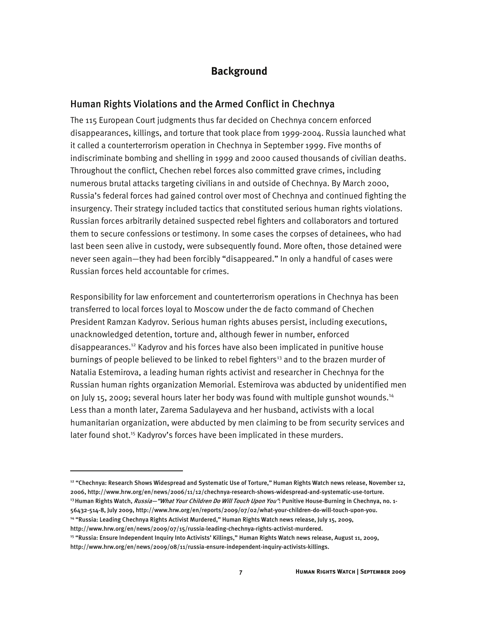#### **Background**

#### Human Rights Violations and the Armed Conflict in Chechnya

The 115 European Court judgments thus far decided on Chechnya concern enforced disappearances, killings, and torture that took place from 1999-2004. Russia launched what it called a counterterrorism operation in Chechnya in September 1999. Five months of indiscriminate bombing and shelling in 1999 and 2000 caused thousands of civilian deaths. Throughout the conflict, Chechen rebel forces also committed grave crimes, including numerous brutal attacks targeting civilians in and outside of Chechnya. By March 2000, Russia's federal forces had gained control over most of Chechnya and continued fighting the insurgency. Their strategy included tactics that constituted serious human rights violations. Russian forces arbitrarily detained suspected rebel fighters and collaborators and tortured them to secure confessions or testimony. In some cases the corpses of detainees, who had last been seen alive in custody, were subsequently found. More often, those detained were never seen again—they had been forcibly "disappeared." In only a handful of cases were Russian forces held accountable for crimes.

Responsibility for law enforcement and counterterrorism operations in Chechnya has been transferred to local forces loyal to Moscow under the de facto command of Chechen President Ramzan Kadyrov. Serious human rights abuses persist, including executions, unacknowledged detention, torture and, although fewer in number, enforced disappearances.<sup>12</sup> Kadyrov and his forces have also been implicated in punitive house burnings of people believed to be linked to rebel fighters<sup>13</sup> and to the brazen murder of Natalia Estemirova, a leading human rights activist and researcher in Chechnya for the Russian human rights organization Memorial. Estemirova was abducted by unidentified men on July 15, 2009; several hours later her body was found with multiple gunshot wounds.<sup>14</sup> Less than a month later, Zarema Sadulayeva and her husband, activists with a local humanitarian organization, were abducted by men claiming to be from security services and later found shot.<sup>15</sup> Kadyrov's forces have been implicated in these murders.

<sup>12 &</sup>quot;Chechnya: Research Shows Widespread and Systematic Use of Torture," Human Rights Watch news release, November 12, 2006, http://www.hrw.org/en/news/2006/11/12/chechnya-research-shows-widespread-and-systematic-use-torture. <sup>13</sup> Human Rights Watch, *Russia—"What Your Children Do Will Touch Upon You"*: Punitive House-Burning in Chechnya, no. 1-56432-514-8, July 2009, http://www.hrw.org/en/reports/2009/07/02/what-your-children-do-will-touch-upon-you.

<sup>14 &</sup>quot;Russia: Leading Chechnya Rights Activist Murdered," Human Rights Watch news release, July 15, 2009,

http://www.hrw.org/en/news/2009/07/15/russia-leading-chechnya-rights-activist-murdered.

<sup>&</sup>lt;sup>15 "</sup>Russia: Ensure Independent Inquiry Into Activists' Killings," Human Rights Watch news release, August 11, 2009, http://www.hrw.org/en/news/2009/08/11/russia-ensure-independent-inquiry-activists-killings.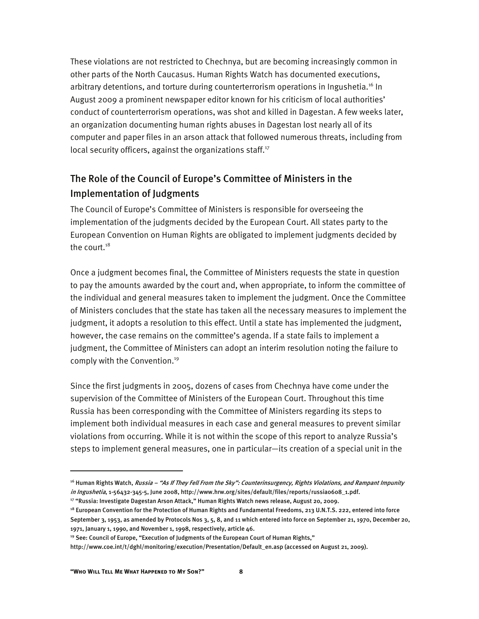These violations are not restricted to Chechnya, but are becoming increasingly common in other parts of the North Caucasus. Human Rights Watch has documented executions, arbitrary detentions, and torture during counterterrorism operations in Ingushetia.<sup>16</sup> In August 2009 a prominent newspaper editor known for his criticism of local authorities' conduct of counterterrorism operations, was shot and killed in Dagestan. A few weeks later, an organization documenting human rights abuses in Dagestan lost nearly all of its computer and paper files in an arson attack that followed numerous threats, including from local security officers, against the organizations staff.<sup>17</sup>

### The Role of the Council of Europe's Committee of Ministers in the Implementation of Judgments

The Council of Europe's Committee of Ministers is responsible for overseeing the implementation of the judgments decided by the European Court. All states party to the European Convention on Human Rights are obligated to implement judgments decided by the court. $18$ 

Once a judgment becomes final, the Committee of Ministers requests the state in question to pay the amounts awarded by the court and, when appropriate, to inform the committee of the individual and general measures taken to implement the judgment. Once the Committee of Ministers concludes that the state has taken all the necessary measures to implement the judgment, it adopts a resolution to this effect. Until a state has implemented the judgment, however, the case remains on the committee's agenda. If a state fails to implement a judgment, the Committee of Ministers can adopt an interim resolution noting the failure to comply with the Convention.<sup>19</sup>

Since the first judgments in 2005, dozens of cases from Chechnya have come under the supervision of the Committee of Ministers of the European Court. Throughout this time Russia has been corresponding with the Committee of Ministers regarding its steps to implement both individual measures in each case and general measures to prevent similar violations from occurring. While it is not within the scope of this report to analyze Russia's steps to implement general measures, one in particular—its creation of a special unit in the

<sup>&</sup>lt;sup>16</sup> Human Rights Watch, *Russia – "As If They Fell From the Sky": Counterinsurgency, Rights Violations, and Rampant Impunity* in Ingushetia, 1-56432-345-5, June 2008, http://www.hrw.org/sites/default/files/reports/russia0608\_1.pdf.

<sup>17 &</sup>quot;Russia: Investigate Dagestan Arson Attack," Human Rights Watch news release, August 20, 2009.

<sup>&</sup>lt;sup>18</sup> European Convention for the Protection of Human Rights and Fundamental Freedoms, 213 U.N.T.S. 222, entered into force September 3, 1953, as amended by Protocols Nos 3, 5, 8, and 11 which entered into force on September 21, 1970, December 20, 1971, January 1, 1990, and November 1, 1998, respectively, article 46.

<sup>&</sup>lt;sup>19</sup> See: Council of Europe, "Execution of Judgments of the European Court of Human Rights,"

http://www.coe.int/t/dghl/monitoring/execution/Presentation/Default\_en.asp (accessed on August 21, 2009).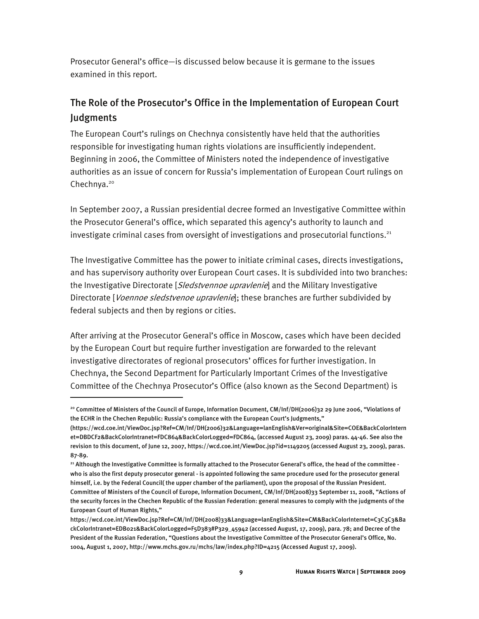Prosecutor General's office—is discussed below because it is germane to the issues examined in this report.

### The Role of the Prosecutor's Office in the Implementation of European Court Judgments

The European Court's rulings on Chechnya consistently have held that the authorities responsible for investigating human rights violations are insufficiently independent. Beginning in 2006, the Committee of Ministers noted the independence of investigative authorities as an issue of concern for Russia's implementation of European Court rulings on Chechnya.<sup>20</sup>

In September 2007, a Russian presidential decree formed an Investigative Committee within the Prosecutor General's office, which separated this agency's authority to launch and investigate criminal cases from oversight of investigations and prosecutorial functions. $21$ 

The Investigative Committee has the power to initiate criminal cases, directs investigations, and has supervisory authority over European Court cases. It is subdivided into two branches: the Investigative Directorate [*Sledstvennoe upravlenie*] and the Military Investigative Directorate [*Voennoe sledstvenoe upravlenie*]; these branches are further subdivided by federal subjects and then by regions or cities.

After arriving at the Prosecutor General's office in Moscow, cases which have been decided by the European Court but require further investigation are forwarded to the relevant investigative directorates of regional prosecutors' offices for further investigation. In Chechnya, the Second Department for Particularly Important Crimes of the Investigative Committee of the Chechnya Prosecutor's Office (also known as the Second Department) is

<sup>&</sup>lt;sup>20</sup> Committee of Ministers of the Council of Europe, Information Document, CM/Inf/DH(2006)32 29 June 2006, "Violations of the ECHR in the Chechen Republic: Russia's compliance with the European Court's Judgments,"

<sup>(</sup>https://wcd.coe.int/ViewDoc.jsp?Ref=CM/Inf/DH(2006)32&Language=lanEnglish&Ver=original&Site=COE&BackColorIntern et=DBDCF2&BackColorIntranet=FDC864&BackColorLogged=FDC864, (accessed August 23, 2009) paras. 44-46. See also the revision to this document, of June 12, 2007, https://wcd.coe.int/ViewDoc.jsp?id=1149205 (accessed August 23, 2009), paras. 87-89.

<sup>&</sup>lt;sup>21</sup> Although the Investigative Committee is formally attached to the Prosecutor General's office, the head of the committee who is also the first deputy prosecutor general - is appointed following the same procedure used for the prosecutor general himself, i.e. by the Federal Council( the upper chamber of the parliament), upon the proposal of the Russian President. Committee of Ministers of the Council of Europe, Information Document, CM/Inf/DH(2008)33 September 11, 2008, "Actions of the security forces in the Chechen Republic of the Russian Federation: general measures to comply with the judgments of the European Court of Human Rights,"

https://wcd.coe.int/ViewDoc.jsp?Ref=CM/Inf/DH(2008)33&Language=lanEnglish&Site=CM&BackColorInternet=C3C3C3&Ba ckColorIntranet=EDB021&BackColorLogged=F5D383#P329\_45942 (accessed August, 17, 2009), para. 78; and Decree of the President of the Russian Federation, "Questions about the Investigative Committee of the Prosecutor General's Office, No. 1004, August 1, 2007, http://www.mchs.gov.ru/mchs/law/index.php?ID=4215 (Accessed August 17, 2009).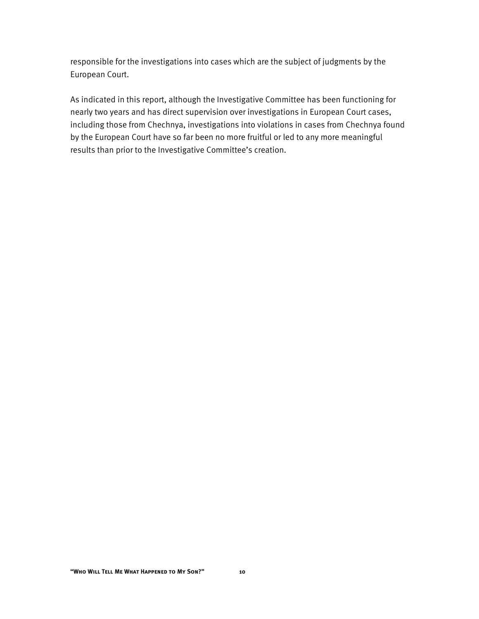responsible for the investigations into cases which are the subject of judgments by the European Court.

As indicated in this report, although the Investigative Committee has been functioning for nearly two years and has direct supervision over investigations in European Court cases, including those from Chechnya, investigations into violations in cases from Chechnya found by the European Court have so far been no more fruitful or led to any more meaningful results than prior to the Investigative Committee's creation.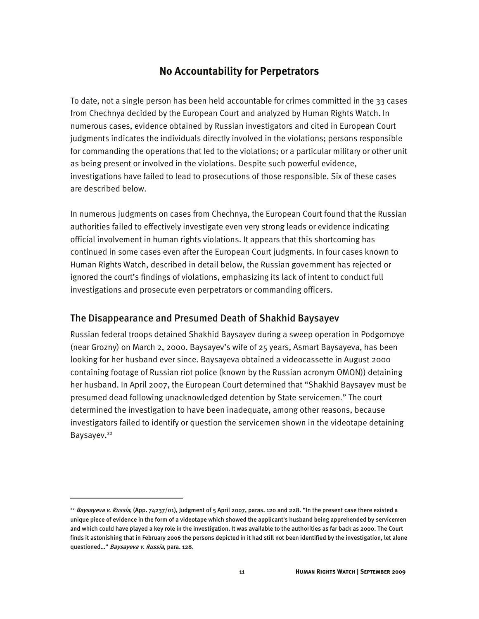#### **No Accountability for Perpetrators**

To date, not a single person has been held accountable for crimes committed in the 33 cases from Chechnya decided by the European Court and analyzed by Human Rights Watch. In numerous cases, evidence obtained by Russian investigators and cited in European Court judgments indicates the individuals directly involved in the violations; persons responsible for commanding the operations that led to the violations; or a particular military or other unit as being present or involved in the violations. Despite such powerful evidence, investigations have failed to lead to prosecutions of those responsible. Six of these cases are described below.

In numerous judgments on cases from Chechnya, the European Court found that the Russian authorities failed to effectively investigate even very strong leads or evidence indicating official involvement in human rights violations. It appears that this shortcoming has continued in some cases even after the European Court judgments. In four cases known to Human Rights Watch, described in detail below, the Russian government has rejected or ignored the court's findings of violations, emphasizing its lack of intent to conduct full investigations and prosecute even perpetrators or commanding officers.

#### The Disappearance and Presumed Death of Shakhid Baysayev

j

Russian federal troops detained Shakhid Baysayev during a sweep operation in Podgornoye (near Grozny) on March 2, 2000. Baysayev's wife of 25 years, Asmart Baysayeva, has been looking for her husband ever since. Baysayeva obtained a videocassette in August 2000 containing footage of Russian riot police (known by the Russian acronym OMON)) detaining her husband. In April 2007, the European Court determined that "Shakhid Baysayev must be presumed dead following unacknowledged detention by State servicemen." The court determined the investigation to have been inadequate, among other reasons, because investigators failed to identify or question the servicemen shown in the videotape detaining Baysayev.<sup>22</sup>

<sup>&</sup>lt;sup>22</sup> Baysayeva v. Russia, (App. 74237/01), Judgment of 5 April 2007, paras. 120 and 228. "In the present case there existed a unique piece of evidence in the form of a videotape which showed the applicant's husband being apprehended by servicemen and which could have played a key role in the investigation. It was available to the authorities as far back as 2000. The Court finds it astonishing that in February 2006 the persons depicted in it had still not been identified by the investigation, let alone questioned..." Baysayeva v. Russia, para. 128.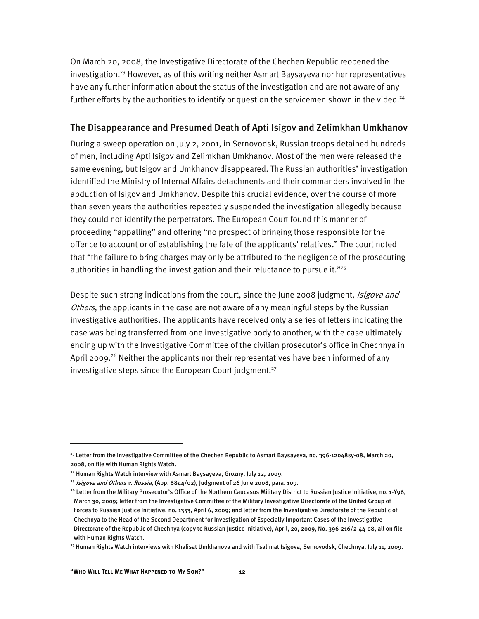On March 20, 2008, the Investigative Directorate of the Chechen Republic reopened the investigation.<sup>23</sup> However, as of this writing neither Asmart Baysayeva nor her representatives have any further information about the status of the investigation and are not aware of any further efforts by the authorities to identify or question the servicemen shown in the video.<sup>24</sup>

#### The Disappearance and Presumed Death of Apti Isigov and Zelimkhan Umkhanov

During a sweep operation on July 2, 2001, in Sernovodsk, Russian troops detained hundreds of men, including Apti Isigov and Zelimkhan Umkhanov. Most of the men were released the same evening, but Isigov and Umkhanov disappeared. The Russian authorities' investigation identified the Ministry of Internal Affairs detachments and their commanders involved in the abduction of Isigov and Umkhanov. Despite this crucial evidence, over the course of more than seven years the authorities repeatedly suspended the investigation allegedly because they could not identify the perpetrators. The European Court found this manner of proceeding "appalling" and offering "no prospect of bringing those responsible for the offence to account or of establishing the fate of the applicants' relatives." The court noted that "the failure to bring charges may only be attributed to the negligence of the prosecuting authorities in handling the investigation and their reluctance to pursue it."<sup>25</sup>

Despite such strong indications from the court, since the June 2008 judgment, *Isigova and* Others, the applicants in the case are not aware of any meaningful steps by the Russian investigative authorities. The applicants have received only a series of letters indicating the case was being transferred from one investigative body to another, with the case ultimately ending up with the Investigative Committee of the civilian prosecutor's office in Chechnya in April 2009.<sup>26</sup> Neither the applicants nor their representatives have been informed of any investigative steps since the European Court judgment.<sup>27</sup>

<sup>&</sup>lt;sup>23</sup> Letter from the Investigative Committee of the Chechen Republic to Asmart Baysayeva, no. 396-12048sy-08, March 20, 2008, on file with Human Rights Watch.

<sup>&</sup>lt;sup>24</sup> Human Rights Watch interview with Asmart Baysayeva, Grozny, July 12, 2009.

 $25$  Isigova and Others v. Russia, (App. 6844/02), Judgment of 26 June 2008, para. 109.

<sup>&</sup>lt;sup>26</sup> Letter from the Military Prosecutor's Office of the Northern Caucasus Military District to Russian Justice Initiative, no. 1-Y96, March 30, 2009; letter from the Investigative Committee of the Military Investigative Directorate of the United Group of Forces to Russian Justice Initiative, no. 1353, April 6, 2009; and letter from the Investigative Directorate of the Republic of Chechnya to the Head of the Second Department for Investigation of Especially Important Cases of the Investigative Directorate of the Republic of Chechnya (copy to Russian Justice Initiative), April, 20, 2009, No. 396-216/2-44-08, all on file with Human Rights Watch.

<sup>&</sup>lt;sup>27</sup> Human Rights Watch interviews with Khalisat Umkhanova and with Tsalimat Isigova, Sernovodsk, Chechnya, July 11, 2009.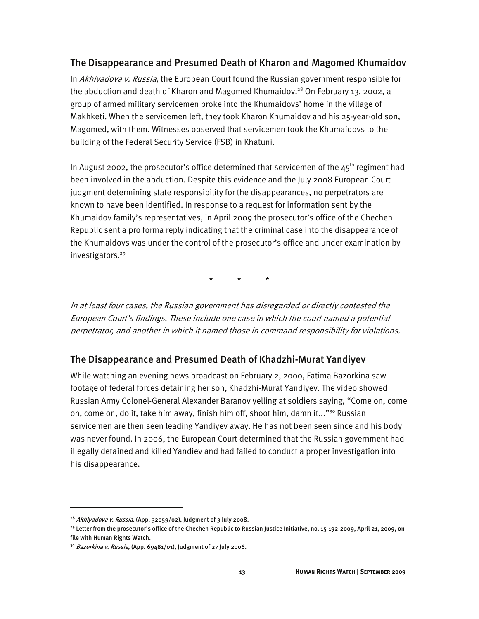#### The Disappearance and Presumed Death of Kharon and Magomed Khumaidov

In Akhiyadova v. Russia, the European Court found the Russian government responsible for the abduction and death of Kharon and Magomed Khumaidov.<sup>28</sup> On February 13, 2002, a group of armed military servicemen broke into the Khumaidovs' home in the village of Makhketi. When the servicemen left, they took Kharon Khumaidov and his 25-year-old son, Magomed, with them. Witnesses observed that servicemen took the Khumaidovs to the building of the Federal Security Service (FSB) in Khatuni.

In August 2002, the prosecutor's office determined that servicemen of the  $45<sup>th</sup>$  regiment had been involved in the abduction. Despite this evidence and the July 2008 European Court judgment determining state responsibility for the disappearances, no perpetrators are known to have been identified. In response to a request for information sent by the Khumaidov family's representatives, in April 2009 the prosecutor's office of the Chechen Republic sent a pro forma reply indicating that the criminal case into the disappearance of the Khumaidovs was under the control of the prosecutor's office and under examination by investigators.<sup>29</sup>

\* \* \*

In at least four cases, the Russian government has disregarded or directly contested the European Court's findings. These include one case in which the court named a potential perpetrator, and another in which it named those in command responsibility for violations.

#### The Disappearance and Presumed Death of Khadzhi-Murat Yandiyev

While watching an evening news broadcast on February 2, 2000, Fatima Bazorkina saw footage of federal forces detaining her son, Khadzhi-Murat Yandiyev. The video showed Russian Army Colonel-General Alexander Baranov yelling at soldiers saying, "Come on, come on, come on, do it, take him away, finish him off, shoot him, damn it..." $30$  Russian servicemen are then seen leading Yandiyev away. He has not been seen since and his body was never found. In 2006, the European Court determined that the Russian government had illegally detained and killed Yandiev and had failed to conduct a proper investigation into his disappearance.

<sup>&</sup>lt;sup>28</sup> Akhiyadova v. Russia, (App. 32059/02), Judgment of 3 July 2008.

<sup>&</sup>lt;sup>29</sup> Letter from the prosecutor's office of the Chechen Republic to Russian Justice Initiative, no. 15-192-2009, April 21, 2009, on file with Human Rights Watch.

 $30$  Bazorkina v. Russia, (App. 69481/01), Judgment of 27 July 2006.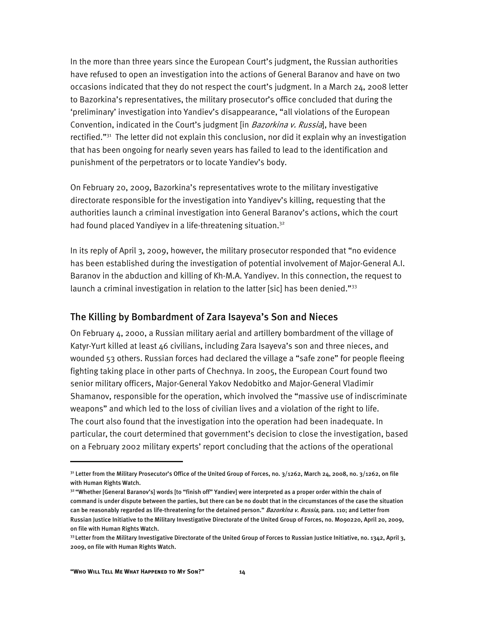In the more than three years since the European Court's judgment, the Russian authorities have refused to open an investigation into the actions of General Baranov and have on two occasions indicated that they do not respect the court's judgment. In a March 24, 2008 letter to Bazorkina's representatives, the military prosecutor's office concluded that during the 'preliminary' investigation into Yandiev's disappearance, "all violations of the European Convention, indicated in the Court's judgment [in Bazorkina v. Russia], have been rectified."<sup>31</sup> The letter did not explain this conclusion, nor did it explain why an investigation that has been ongoing for nearly seven years has failed to lead to the identification and punishment of the perpetrators or to locate Yandiev's body.

On February 20, 2009, Bazorkina's representatives wrote to the military investigative directorate responsible for the investigation into Yandiyev's killing, requesting that the authorities launch a criminal investigation into General Baranov's actions, which the court had found placed Yandiyev in a life-threatening situation.<sup>32</sup>

In its reply of April 3, 2009, however, the military prosecutor responded that "no evidence has been established during the investigation of potential involvement of Major-General A.I. Baranov in the abduction and killing of Kh-M.A. Yandiyev. In this connection, the request to launch a criminal investigation in relation to the latter [sic] has been denied."<sup>33</sup>

#### The Killing by Bombardment of Zara Isayeva's Son and Nieces

On February 4, 2000, a Russian military aerial and artillery bombardment of the village of Katyr-Yurt killed at least 46 civilians, including Zara Isayeva's son and three nieces, and wounded 53 others. Russian forces had declared the village a "safe zone" for people fleeing fighting taking place in other parts of Chechnya. In 2005, the European Court found two senior military officers, Major-General Yakov Nedobitko and Major-General Vladimir Shamanov, responsible for the operation, which involved the "massive use of indiscriminate weapons" and which led to the loss of civilian lives and a violation of the right to life. The court also found that the investigation into the operation had been inadequate. In particular, the court determined that government's decision to close the investigation, based on a February 2002 military experts' report concluding that the actions of the operational

ֺ

 $31$  Letter from the Military Prosecutor's Office of the United Group of Forces, no.  $3/1262$ , March 24, 2008, no.  $3/1262$ , on file with Human Rights Watch.

<sup>32 &</sup>quot;Whether [General Baranov's] words [to "finish off" Yandiev] were interpreted as a proper order within the chain of command is under dispute between the parties, but there can be no doubt that in the circumstances of the case the situation can be reasonably regarded as life-threatening for the detained person." Bazorkina v. Russia, para. 110; and Letter from Russian Justice Initiative to the Military Investigative Directorate of the United Group of Forces, no. M090220, April 20, 2009, on file with Human Rights Watch.

<sup>33</sup> Letter from the Military Investigative Directorate of the United Group of Forces to Russian Justice Initiative, no. 1342, April 3, 2009, on file with Human Rights Watch.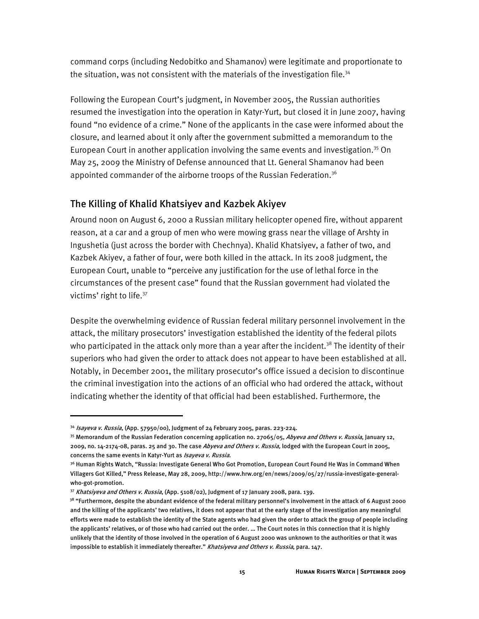command corps (including Nedobitko and Shamanov) were legitimate and proportionate to the situation, was not consistent with the materials of the investigation file.<sup>34</sup>

Following the European Court's judgment, in November 2005, the Russian authorities resumed the investigation into the operation in Katyr-Yurt, but closed it in June 2007, having found "no evidence of a crime." None of the applicants in the case were informed about the closure, and learned about it only after the government submitted a memorandum to the European Court in another application involving the same events and investigation.<sup>35</sup> On May 25, 2009 the Ministry of Defense announced that Lt. General Shamanov had been appointed commander of the airborne troops of the Russian Federation.<sup>36</sup>

#### The Killing of Khalid Khatsiyev and Kazbek Akiyev

Around noon on August 6, 2000 a Russian military helicopter opened fire, without apparent reason, at a car and a group of men who were mowing grass near the village of Arshty in Ingushetia (just across the border with Chechnya). Khalid Khatsiyev, a father of two, and Kazbek Akiyev, a father of four, were both killed in the attack. In its 2008 judgment, the European Court, unable to "perceive any justification for the use of lethal force in the circumstances of the present case" found that the Russian government had violated the victims' right to life.37

Despite the overwhelming evidence of Russian federal military personnel involvement in the attack, the military prosecutors' investigation established the identity of the federal pilots who participated in the attack only more than a year after the incident.<sup>38</sup> The identity of their superiors who had given the order to attack does not appear to have been established at all. Notably, in December 2001, the military prosecutor's office issued a decision to discontinue the criminal investigation into the actions of an official who had ordered the attack, without indicating whether the identity of that official had been established. Furthermore, the

<sup>&</sup>lt;sup>34</sup> Isayeva v. Russia, (App. 57950/00), Judgment of 24 February 2005, paras. 223-224.

<sup>&</sup>lt;sup>35</sup> Memorandum of the Russian Federation concerning application no. 27065/05, Abyeva and Others v. Russia, January 12, 2009, no. 14-2174-08, paras. 25 and 30. The case Abyeva and Others v. Russia, lodged with the European Court in 2005, concerns the same events in Katyr-Yurt as Isayeva v. Russia.

<sup>36</sup> Human Rights Watch, "Russia: Investigate General Who Got Promotion, European Court Found He Was in Command When Villagers Got Killed," Press Release, May 28, 2009, http://www.hrw.org/en/news/2009/05/27/russia-investigate-generalwho-got-promotion.

<sup>37</sup> Khatsiyeva and Others v. Russia, (App. 5108/02), Judgment of 17 January 2008, para. 139.

 $38$  "Furthermore, despite the abundant evidence of the federal military personnel's involvement in the attack of 6 August 2000 and the killing of the applicants' two relatives, it does not appear that at the early stage of the investigation any meaningful efforts were made to establish the identity of the State agents who had given the order to attack the group of people including the applicants' relatives, or of those who had carried out the order. … The Court notes in this connection that it is highly unlikely that the identity of those involved in the operation of 6 August 2000 was unknown to the authorities or that it was impossible to establish it immediately thereafter." Khatsiyeva and Others v. Russia, para. 147.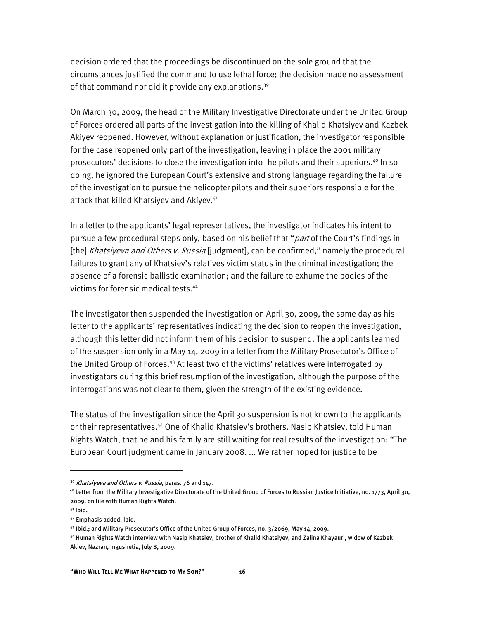decision ordered that the proceedings be discontinued on the sole ground that the circumstances justified the command to use lethal force; the decision made no assessment of that command nor did it provide any explanations.<sup>39</sup>

On March 30, 2009, the head of the Military Investigative Directorate under the United Group of Forces ordered all parts of the investigation into the killing of Khalid Khatsiyev and Kazbek Akiyev reopened. However, without explanation or justification, the investigator responsible for the case reopened only part of the investigation, leaving in place the 2001 military prosecutors' decisions to close the investigation into the pilots and their superiors.<sup>40</sup> In so doing, he ignored the European Court's extensive and strong language regarding the failure of the investigation to pursue the helicopter pilots and their superiors responsible for the attack that killed Khatsiyev and Akiyev.<sup>41</sup>

In a letter to the applicants' legal representatives, the investigator indicates his intent to pursue a few procedural steps only, based on his belief that "*part* of the Court's findings in [the] Khatsiyeva and Others v. Russia [judgment], can be confirmed," namely the procedural failures to grant any of Khatsiev's relatives victim status in the criminal investigation; the absence of a forensic ballistic examination; and the failure to exhume the bodies of the victims for forensic medical tests.42

The investigator then suspended the investigation on April 30, 2009, the same day as his letter to the applicants' representatives indicating the decision to reopen the investigation, although this letter did not inform them of his decision to suspend. The applicants learned of the suspension only in a May 14, 2009 in a letter from the Military Prosecutor's Office of the United Group of Forces.43 At least two of the victims' relatives were interrogated by investigators during this brief resumption of the investigation, although the purpose of the interrogations was not clear to them, given the strength of the existing evidence.

The status of the investigation since the April 30 suspension is not known to the applicants or their representatives.44 One of Khalid Khatsiev's brothers, Nasip Khatsiev, told Human Rights Watch, that he and his family are still waiting for real results of the investigation: "The European Court judgment came in January 2008. ... We rather hoped for justice to be

<sup>39</sup> Khatsiyeva and Others v. Russia, paras. 76 and 147.

<sup>4</sup>º Letter from the Military Investigative Directorate of the United Group of Forces to Russian Justice Initiative, no. 1773, April 30, 2009, on file with Human Rights Watch.

 $41$  Ibid.

<sup>42</sup> Emphasis added. Ibid.

<sup>43</sup> Ibid.; and Military Prosecutor's Office of the United Group of Forces, no. 3/2069, May 14, 2009.

<sup>44</sup> Human Rights Watch interview with Nasip Khatsiev, brother of Khalid Khatsiyev, and Zalina Khayauri, widow of Kazbek Akiev, Nazran, Ingushetia, July 8, 2009.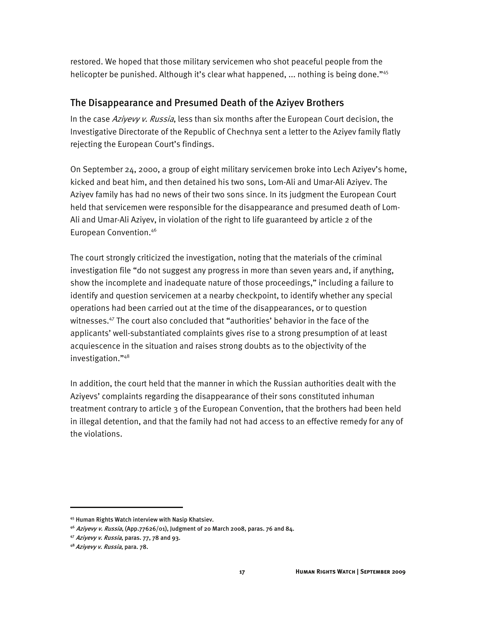restored. We hoped that those military servicemen who shot peaceful people from the helicopter be punished. Although it's clear what happened, ... nothing is being done."<sup>45</sup>

#### The Disappearance and Presumed Death of the Aziyev Brothers

In the case Aziyevy v. Russia, less than six months after the European Court decision, the Investigative Directorate of the Republic of Chechnya sent a letter to the Aziyev family flatly rejecting the European Court's findings.

On September 24, 2000, a group of eight military servicemen broke into Lech Aziyev's home, kicked and beat him, and then detained his two sons, Lom-Ali and Umar-Ali Aziyev. The Aziyev family has had no news of their two sons since. In its judgment the European Court held that servicemen were responsible for the disappearance and presumed death of Lom-Ali and Umar-Ali Aziyev, in violation of the right to life guaranteed by article 2 of the European Convention.46

The court strongly criticized the investigation, noting that the materials of the criminal investigation file "do not suggest any progress in more than seven years and, if anything, show the incomplete and inadequate nature of those proceedings," including a failure to identify and question servicemen at a nearby checkpoint, to identify whether any special operations had been carried out at the time of the disappearances, or to question witnesses.47 The court also concluded that "authorities' behavior in the face of the applicants' well-substantiated complaints gives rise to a strong presumption of at least acquiescence in the situation and raises strong doubts as to the objectivity of the investigation."48

In addition, the court held that the manner in which the Russian authorities dealt with the Aziyevs' complaints regarding the disappearance of their sons constituted inhuman treatment contrary to article 3 of the European Convention, that the brothers had been held in illegal detention, and that the family had not had access to an effective remedy for any of the violations.

<sup>45</sup> Human Rights Watch interview with Nasip Khatsiev.

<sup>&</sup>lt;sup>46</sup> Aziyevy v. Russia, (App.77626/01), Judgment of 20 March 2008, paras. 76 and 84.

<sup>47</sup> Aziyevy v. Russia, paras. 77, 78 and 93.

<sup>48</sup> Aziyevy v. Russia, para. 78.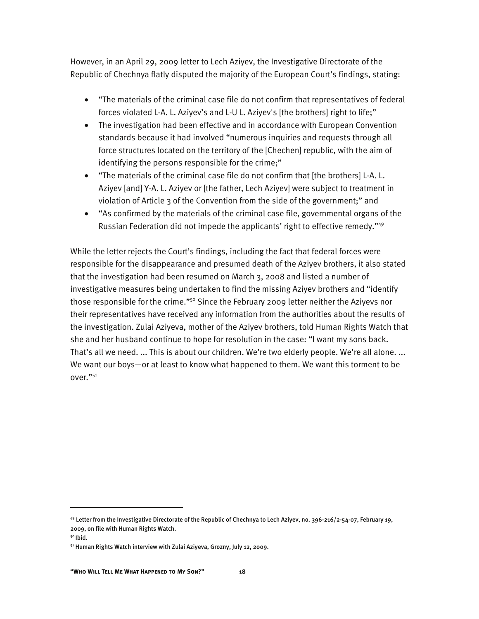However, in an April 29, 2009 letter to Lech Aziyev, the Investigative Directorate of the Republic of Chechnya flatly disputed the majority of the European Court's findings, stating:

- "The materials of the criminal case file do not confirm that representatives of federal forces violated L-A. L. Aziyev's and L-U L. Aziyev's [the brothers] right to life;"
- The investigation had been effective and in accordance with European Convention standards because it had involved "numerous inquiries and requests through all force structures located on the territory of the [Chechen] republic, with the aim of identifying the persons responsible for the crime;"
- "The materials of the criminal case file do not confirm that [the brothers] L-A. L. Aziyev [and] Y-A. L. Aziyev or [the father, Lech Aziyev] were subject to treatment in violation of Article 3 of the Convention from the side of the government;" and
- "As confirmed by the materials of the criminal case file, governmental organs of the Russian Federation did not impede the applicants' right to effective remedy."49

While the letter rejects the Court's findings, including the fact that federal forces were responsible for the disappearance and presumed death of the Aziyev brothers, it also stated that the investigation had been resumed on March 3, 2008 and listed a number of investigative measures being undertaken to find the missing Aziyev brothers and "identify those responsible for the crime."<sup>50</sup> Since the February 2009 letter neither the Aziyevs nor their representatives have received any information from the authorities about the results of the investigation. Zulai Aziyeva, mother of the Aziyev brothers, told Human Rights Watch that she and her husband continue to hope for resolution in the case: "I want my sons back. That's all we need. ... This is about our children. We're two elderly people. We're all alone. ... We want our boys—or at least to know what happened to them. We want this torment to be over."51

<sup>49</sup> Letter from the Investigative Directorate of the Republic of Chechnya to Lech Aziyev, no. 396-216/2-54-07, February 19, 2009, on file with Human Rights Watch.

<sup>50</sup> Ibid.

<sup>51</sup> Human Rights Watch interview with Zulai Aziyeva, Grozny, July 12, 2009.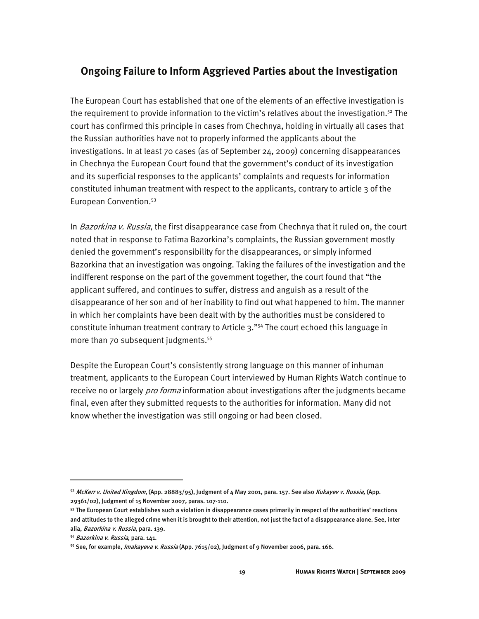#### **Ongoing Failure to Inform Aggrieved Parties about the Investigation**

The European Court has established that one of the elements of an effective investigation is the requirement to provide information to the victim's relatives about the investigation.<sup>52</sup> The court has confirmed this principle in cases from Chechnya, holding in virtually all cases that the Russian authorities have not to properly informed the applicants about the investigations. In at least 70 cases (as of September 24, 2009) concerning disappearances in Chechnya the European Court found that the government's conduct of its investigation and its superficial responses to the applicants' complaints and requests for information constituted inhuman treatment with respect to the applicants, contrary to article 3 of the European Convention.53

In *Bazorkina v. Russia*, the first disappearance case from Chechnya that it ruled on, the court noted that in response to Fatima Bazorkina's complaints, the Russian government mostly denied the government's responsibility for the disappearances, or simply informed Bazorkina that an investigation was ongoing. Taking the failures of the investigation and the indifferent response on the part of the government together, the court found that "the applicant suffered, and continues to suffer, distress and anguish as a result of the disappearance of her son and of her inability to find out what happened to him. The manner in which her complaints have been dealt with by the authorities must be considered to constitute inhuman treatment contrary to Article  $3.^{"54}$  The court echoed this language in more than 70 subsequent judgments.<sup>55</sup>

Despite the European Court's consistently strong language on this manner of inhuman treatment, applicants to the European Court interviewed by Human Rights Watch continue to receive no or largely *pro forma* information about investigations after the judgments became final, even after they submitted requests to the authorities for information. Many did not know whether the investigation was still ongoing or had been closed.

<sup>52</sup> McKerr v. United Kingdom, (App. 28883/95), Judgment of 4 May 2001, para. 157. See also Kukayev v. Russia, (App. 29361/02), Judgment of 15 November 2007, paras. 107-110.

 $53$  The European Court establishes such a violation in disappearance cases primarily in respect of the authorities' reactions and attitudes to the alleged crime when it is brought to their attention, not just the fact of a disappearance alone. See, inter alia, Bazorkina v. Russia, para. 139.

<sup>54</sup> Bazorkina v. Russia, para. 141.

<sup>&</sup>lt;sup>55</sup> See, for example, *Imakayeva v. Russia* (App. 7615/02), Judgment of 9 November 2006, para. 166.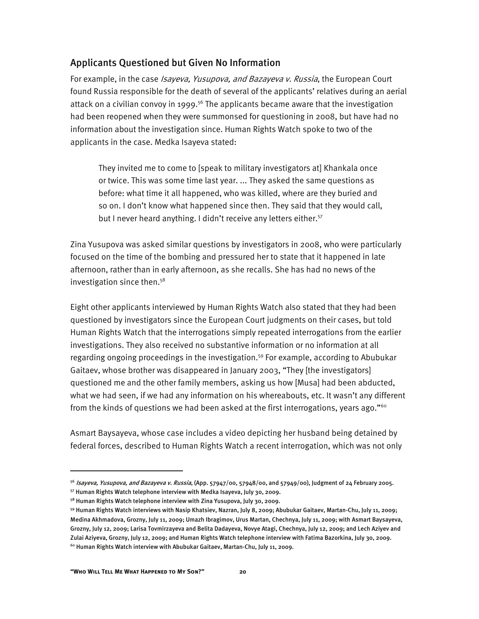#### Applicants Questioned but Given No Information

For example, in the case *Isayeva, Yusupova, and Bazayeva v. Russia*, the European Court found Russia responsible for the death of several of the applicants' relatives during an aerial attack on a civilian convoy in 1999.<sup>56</sup> The applicants became aware that the investigation had been reopened when they were summonsed for questioning in 2008, but have had no information about the investigation since. Human Rights Watch spoke to two of the applicants in the case. Medka Isayeva stated:

They invited me to come to [speak to military investigators at] Khankala once or twice. This was some time last year. ... They asked the same questions as before: what time it all happened, who was killed, where are they buried and so on. I don't know what happened since then. They said that they would call, but I never heard anything. I didn't receive any letters either.<sup>57</sup>

Zina Yusupova was asked similar questions by investigators in 2008, who were particularly focused on the time of the bombing and pressured her to state that it happened in late afternoon, rather than in early afternoon, as she recalls. She has had no news of the investigation since then.<sup>58</sup>

Eight other applicants interviewed by Human Rights Watch also stated that they had been questioned by investigators since the European Court judgments on their cases, but told Human Rights Watch that the interrogations simply repeated interrogations from the earlier investigations. They also received no substantive information or no information at all regarding ongoing proceedings in the investigation.<sup>59</sup> For example, according to Abubukar Gaitaev, whose brother was disappeared in January 2003, "They [the investigators] questioned me and the other family members, asking us how [Musa] had been abducted, what we had seen, if we had any information on his whereabouts, etc. It wasn't any different from the kinds of questions we had been asked at the first interrogations, years ago."<sup>60</sup>

Asmart Baysayeva, whose case includes a video depicting her husband being detained by federal forces, described to Human Rights Watch a recent interrogation, which was not only

 $56$  *Isayeva, Yusupova, and Bazayeva v. Russia*, (App. 57947/00, 57948/00, and 57949/00), Judgment of 24 February 2005.

<sup>57</sup> Human Rights Watch telephone interview with Medka Isayeva, July 30, 2009.

<sup>&</sup>lt;sup>58</sup> Human Rights Watch telephone interview with Zina Yusupova, July 30, 2009.

<sup>59</sup> Human Rights Watch interviews with Nasip Khatsiev, Nazran, July 8, 2009; Abubukar Gaitaev, Martan-Chu, July 11, 2009; Medina Akhmadova, Grozny, July 11, 2009; Umazh Ibragimov, Urus Martan, Chechnya, July 11, 2009; with Asmart Baysayeva, Grozny, July 12, 2009; Larisa Tovmirzayeva and Belita Dadayeva, Novye Atagi, Chechnya, July 12, 2009; and Lech Aziyev and Zulai Aziyeva, Grozny, July 12, 2009; and Human Rights Watch telephone interview with Fatima Bazorkina, July 30, 2009. 60 Human Rights Watch interview with Abubukar Gaitaev, Martan-Chu, July 11, 2009.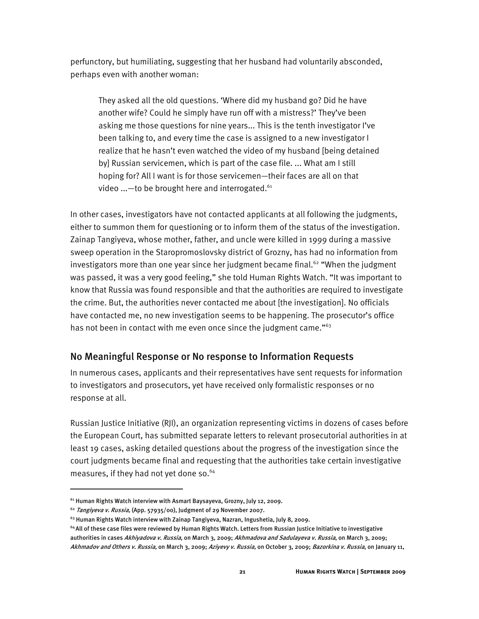perfunctory, but humiliating, suggesting that her husband had voluntarily absconded, perhaps even with another woman:

They asked all the old questions. 'Where did my husband go? Did he have another wife? Could he simply have run off with a mistress?' They've been asking me those questions for nine years... This is the tenth investigator I've been talking to, and every time the case is assigned to a new investigator I realize that he hasn't even watched the video of my husband [being detained by] Russian servicemen, which is part of the case file. ... What am I still hoping for? All I want is for those servicemen—their faces are all on that video ... - to be brought here and interrogated.<sup>61</sup>

In other cases, investigators have not contacted applicants at all following the judgments, either to summon them for questioning or to inform them of the status of the investigation. Zainap Tangiyeva, whose mother, father, and uncle were killed in 1999 during a massive sweep operation in the Staropromoslovsky district of Grozny, has had no information from investigators more than one year since her judgment became final.<sup>62</sup> "When the judgment was passed, it was a very good feeling," she told Human Rights Watch. "It was important to know that Russia was found responsible and that the authorities are required to investigate the crime. But, the authorities never contacted me about [the investigation]. No officials have contacted me, no new investigation seems to be happening. The prosecutor's office has not been in contact with me even once since the judgment came."<sup>63</sup>

#### No Meaningful Response or No response to Information Requests

In numerous cases, applicants and their representatives have sent requests for information to investigators and prosecutors, yet have received only formalistic responses or no response at all.

Russian Justice Initiative (RJI), an organization representing victims in dozens of cases before the European Court, has submitted separate letters to relevant prosecutorial authorities in at least 19 cases, asking detailed questions about the progress of the investigation since the court judgments became final and requesting that the authorities take certain investigative measures, if they had not yet done so. $64$ 

 $\overline{a}$ 

<sup>&</sup>lt;sup>61</sup> Human Rights Watch interview with Asmart Baysayeva, Grozny, July 12, 2009.

<sup>&</sup>lt;sup>62</sup> Tangiyeva v. Russia, (App. 57935/00), Judgment of 29 November 2007.

<sup>63</sup> Human Rights Watch interview with Zainap Tangiyeva, Nazran, Ingushetia, July 8, 2009.

<sup>&</sup>lt;sup>64</sup> All of these case files were reviewed by Human Rights Watch. Letters from Russian Justice Initiative to investigative authorities in cases Akhiyadova v. Russia, on March 3, 2009; Akhmadova and Sadulayeva v. Russia, on March 3, 2009; Akhmadov and Others v. Russia, on March 3, 2009; Aziyevy v. Russia, on October 3, 2009; Bazorkina v. Russia, on January 11,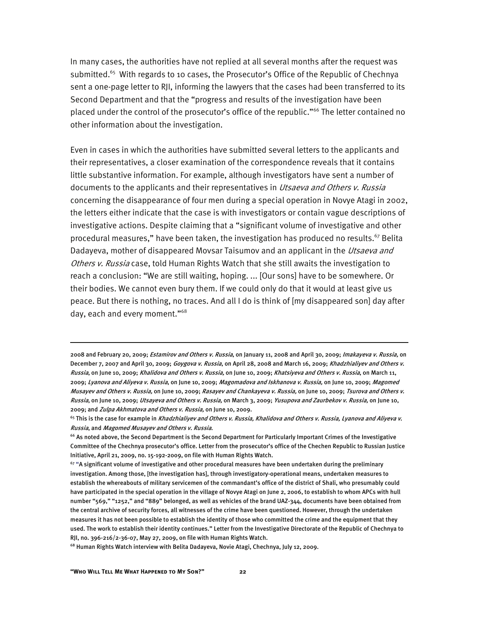In many cases, the authorities have not replied at all several months after the request was submitted.<sup>65</sup> With regards to 10 cases, the Prosecutor's Office of the Republic of Chechnya sent a one-page letter to RJI, informing the lawyers that the cases had been transferred to its Second Department and that the "progress and results of the investigation have been placed under the control of the prosecutor's office of the republic."66 The letter contained no other information about the investigation.

Even in cases in which the authorities have submitted several letters to the applicants and their representatives, a closer examination of the correspondence reveals that it contains little substantive information. For example, although investigators have sent a number of documents to the applicants and their representatives in *Utsaeva and Others v. Russia* concerning the disappearance of four men during a special operation in Novye Atagi in 2002, the letters either indicate that the case is with investigators or contain vague descriptions of investigative actions. Despite claiming that a "significant volume of investigative and other procedural measures," have been taken, the investigation has produced no results.<sup>67</sup> Belita Dadayeva, mother of disappeared Movsar Taisumov and an applicant in the *Utsaeva and* Others v. Russia case, told Human Rights Watch that she still awaits the investigation to reach a conclusion: "We are still waiting, hoping. ... [Our sons] have to be somewhere. Or their bodies. We cannot even bury them. If we could only do that it would at least give us peace. But there is nothing, no traces. And all I do is think of [my disappeared son] day after day, each and every moment."68

68 Human Rights Watch interview with Belita Dadayeva, Novie Atagi, Chechnya, July 12, 2009.

 $\overline{a}$ 

<sup>2008</sup> and February 20, 2009; Estamirov and Others v. Russia, on January 11, 2008 and April 30, 2009; Imakayeva v. Russia, on December 7, 2007 and April 30, 2009; Goygova v. Russia, on April 28, 2008 and March 16, 2009; Khadzhialiyev and Others v. Russia, on June 10, 2009; Khalidova and Others v. Russia, on June 10, 2009; Khatsiyeva and Others v. Russia, on March 11, 2009; Lyanova and Aliyeva v. Russia, on June 10, 2009; Magomadova and Iskhanova v. Russia, on June 10, 2009; Magomed Musayev and Others v. Russia, on June 10, 2009; Rasayev and Chankayeva v. Russia, on June 10, 2009; Tsurova and Others v. Russia, on June 10, 2009; Utsayeva and Others v. Russia, on March 3, 2009; Yusupova and Zaurbekov v. Russia, on June 10, 2009; and Zulpa Akhmatova and Others v. Russia, on June 10, 2009.

 $65$  This is the case for example in Khadzhialiyev and Others v. Russia, Khalidova and Others v. Russia, Lyanova and Aliyeva v. Russia, and Magomed Musayev and Others v. Russia.

<sup>&</sup>lt;sup>66</sup> As noted above, the Second Department is the Second Department for Particularly Important Crimes of the Investigative Committee of the Chechnya prosecutor's office. Letter from the prosecutor's office of the Chechen Republic to Russian Justice Initiative, April 21, 2009, no. 15-192-2009, on file with Human Rights Watch.

 $67$  "A significant volume of investigative and other procedural measures have been undertaken during the preliminary investigation. Among those, [the investigation has], through investigatory-operational means, undertaken measures to establish the whereabouts of military servicemen of the commandant's office of the district of Shali, who presumably could have participated in the special operation in the village of Novye Atagi on June 2, 2006, to establish to whom APCs with hull number "569," "1252," and "889" belonged, as well as vehicles of the brand UAZ-344, documents have been obtained from the central archive of security forces, all witnesses of the crime have been questioned. However, through the undertaken measures it has not been possible to establish the identity of those who committed the crime and the equipment that they used. The work to establish their identity continues." Letter from the Investigative Directorate of the Republic of Chechnya to RJI, no. 396-216/2-36-07, May 27, 2009, on file with Human Rights Watch.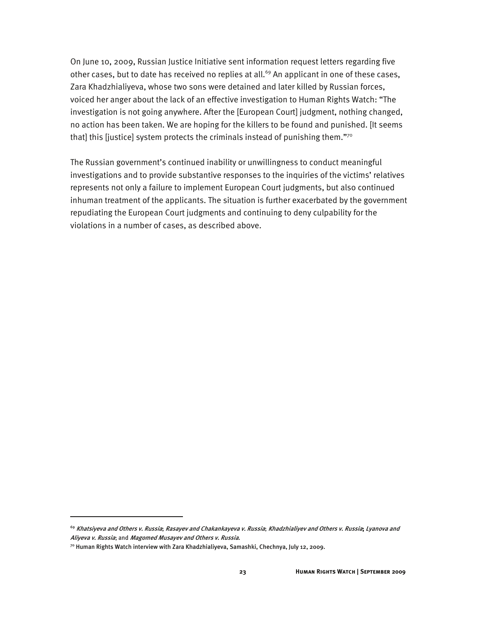On June 10, 2009, Russian Justice Initiative sent information request letters regarding five other cases, but to date has received no replies at all.<sup>69</sup> An applicant in one of these cases, Zara Khadzhialiyeva, whose two sons were detained and later killed by Russian forces, voiced her anger about the lack of an effective investigation to Human Rights Watch: "The investigation is not going anywhere. After the [European Court] judgment, nothing changed, no action has been taken. We are hoping for the killers to be found and punished. [It seems that] this [justice] system protects the criminals instead of punishing them."70

The Russian government's continued inability or unwillingness to conduct meaningful investigations and to provide substantive responses to the inquiries of the victims' relatives represents not only a failure to implement European Court judgments, but also continued inhuman treatment of the applicants. The situation is further exacerbated by the government repudiating the European Court judgments and continuing to deny culpability for the violations in a number of cases, as described above.

<sup>&</sup>lt;sup>69</sup> Khatsiyeva and Others v. Russia; Rasayev and Chakankayeva v. Russia; Khadzhialiyev and Others v. Russia; Lyanova and Aliyeva v. Russia; and Magomed Musayev and Others v. Russia.

<sup>70</sup> Human Rights Watch interview with Zara Khadzhialiyeva, Samashki, Chechnya, July 12, 2009.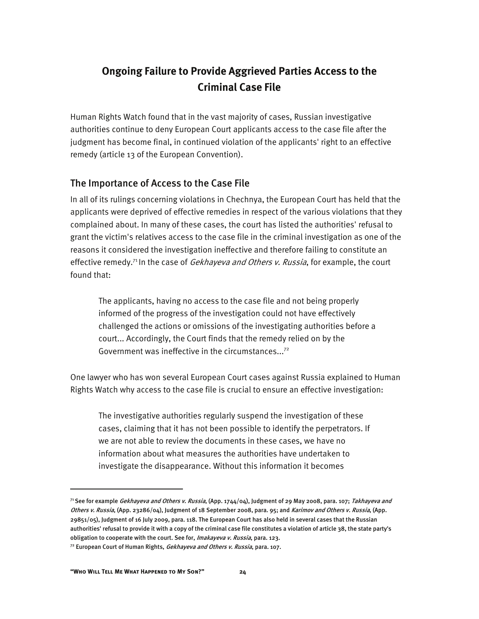# **Ongoing Failure to Provide Aggrieved Parties Access to the Criminal Case File**

Human Rights Watch found that in the vast majority of cases, Russian investigative authorities continue to deny European Court applicants access to the case file after the judgment has become final, in continued violation of the applicants' right to an effective remedy (article 13 of the European Convention).

#### The Importance of Access to the Case File

In all of its rulings concerning violations in Chechnya, the European Court has held that the applicants were deprived of effective remedies in respect of the various violations that they complained about. In many of these cases, the court has listed the authorities' refusal to grant the victim's relatives access to the case file in the criminal investigation as one of the reasons it considered the investigation ineffective and therefore failing to constitute an effective remedy.<sup>71</sup> In the case of *Gekhayeva and Others v. Russia*, for example, the court found that:

The applicants, having no access to the case file and not being properly informed of the progress of the investigation could not have effectively challenged the actions or omissions of the investigating authorities before a court... Accordingly, the Court finds that the remedy relied on by the Government was ineffective in the circumstances...72

One lawyer who has won several European Court cases against Russia explained to Human Rights Watch why access to the case file is crucial to ensure an effective investigation:

The investigative authorities regularly suspend the investigation of these cases, claiming that it has not been possible to identify the perpetrators. If we are not able to review the documents in these cases, we have no information about what measures the authorities have undertaken to investigate the disappearance. Without this information it becomes

1

<sup>&</sup>lt;sup>71</sup> See for example *Gekhayeva and Others v. Russia*, (App. 1744/04), Judgment of 29 May 2008, para. 107; *Takhayeva and* Others v. Russia, (App. 23286/04), Judgment of 18 September 2008, para. 95; and Karimov and Others v. Russia, (App. 29851/05), Judgment of 16 July 2009, para. 118. The European Court has also held in several cases that the Russian authorities' refusal to provide it with a copy of the criminal case file constitutes a violation of article 38, the state party's obligation to cooperate with the court. See for, Imakayeva v. Russia, para. 123.

<sup>&</sup>lt;sup>72</sup> European Court of Human Rights, *Gekhayeva and Others v. Russia*, para. 107.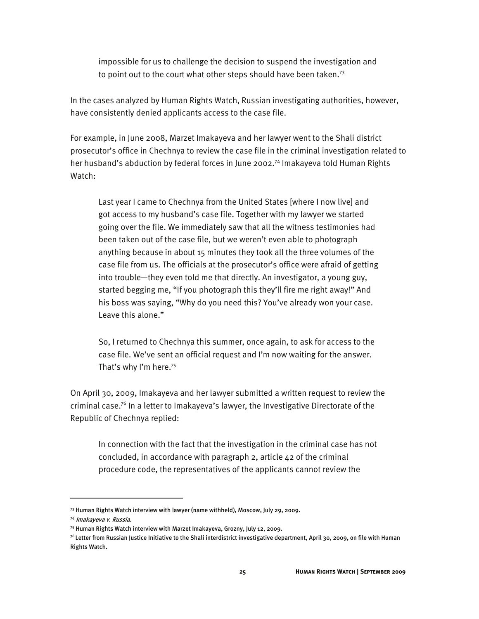impossible for us to challenge the decision to suspend the investigation and to point out to the court what other steps should have been taken.<sup>73</sup>

In the cases analyzed by Human Rights Watch, Russian investigating authorities, however, have consistently denied applicants access to the case file.

For example, in June 2008, Marzet Imakayeva and her lawyer went to the Shali district prosecutor's office in Chechnya to review the case file in the criminal investigation related to her husband's abduction by federal forces in June 2002.<sup>74</sup> Imakayeva told Human Rights Watch:

Last year I came to Chechnya from the United States [where I now live] and got access to my husband's case file. Together with my lawyer we started going over the file. We immediately saw that all the witness testimonies had been taken out of the case file, but we weren't even able to photograph anything because in about 15 minutes they took all the three volumes of the case file from us. The officials at the prosecutor's office were afraid of getting into trouble—they even told me that directly. An investigator, a young guy, started begging me, "If you photograph this they'll fire me right away!" And his boss was saying, "Why do you need this? You've already won your case. Leave this alone."

So, I returned to Chechnya this summer, once again, to ask for access to the case file. We've sent an official request and I'm now waiting for the answer. That's why I'm here.<sup>75</sup>

On April 30, 2009, Imakayeva and her lawyer submitted a written request to review the criminal case.<sup>76</sup> In a letter to Imakayeva's lawyer, the Investigative Directorate of the Republic of Chechnya replied:

In connection with the fact that the investigation in the criminal case has not concluded, in accordance with paragraph 2, article 42 of the criminal procedure code, the representatives of the applicants cannot review the

<sup>73</sup> Human Rights Watch interview with lawyer (name withheld), Moscow, July 29, 2009.

<sup>74</sup> Imakayeva v. Russia.

<sup>75</sup> Human Rights Watch interview with Marzet Imakayeva, Grozny, July 12, 2009.

 $^{76}$ Letter from Russian Justice Initiative to the Shali interdistrict investigative department, April 30, 2009, on file with Human Rights Watch.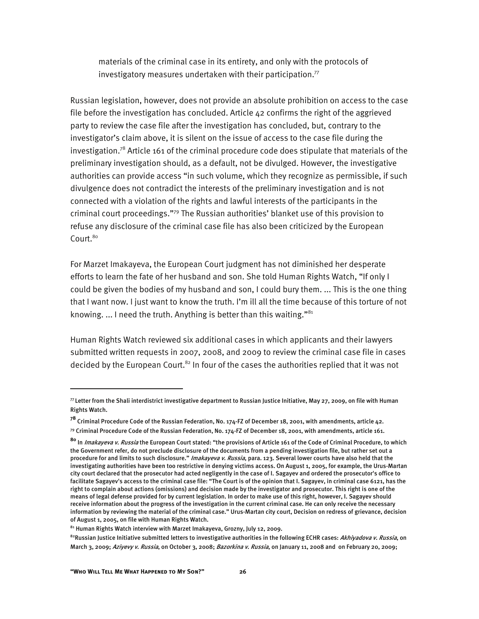materials of the criminal case in its entirety, and only with the protocols of investigatory measures undertaken with their participation. $77$ 

Russian legislation, however, does not provide an absolute prohibition on access to the case file before the investigation has concluded. Article 42 confirms the right of the aggrieved party to review the case file after the investigation has concluded, but, contrary to the investigator's claim above, it is silent on the issue of access to the case file during the investigation.<sup>78</sup> Article 161 of the criminal procedure code does stipulate that materials of the preliminary investigation should, as a default, not be divulged. However, the investigative authorities can provide access "in such volume, which they recognize as permissible, if such divulgence does not contradict the interests of the preliminary investigation and is not connected with a violation of the rights and lawful interests of the participants in the criminal court proceedings."79 The Russian authorities' blanket use of this provision to refuse any disclosure of the criminal case file has also been criticized by the European Court.<sup>80</sup>

For Marzet Imakayeva, the European Court judgment has not diminished her desperate efforts to learn the fate of her husband and son. She told Human Rights Watch, "If only I could be given the bodies of my husband and son, I could bury them. ... This is the one thing that I want now. I just want to know the truth. I'm ill all the time because of this torture of not knowing. ... I need the truth. Anything is better than this waiting."<sup>81</sup>

Human Rights Watch reviewed six additional cases in which applicants and their lawyers submitted written requests in 2007, 2008, and 2009 to review the criminal case file in cases decided by the European Court.<sup>82</sup> In four of the cases the authorities replied that it was not

:

 $\eta$  Letter from the Shali interdistrict investigative department to Russian Justice Initiative, May 27, 2009, on file with Human Rights Watch.

**<sup>78</sup>** Criminal Procedure Code of the Russian Federation, No. 174-FZ of December 18, 2001, with amendments, article 42.

 $^{79}$  Criminal Procedure Code of the Russian Federation, No. 174-FZ of December 18, 2001, with amendments, article 161.

**<sup>80</sup>** In Imakayeva v. Russia the European Court stated: "the provisions of Article 161 of the Code of Criminal Procedure, to which the Government refer, do not preclude disclosure of the documents from a pending investigation file, but rather set out a procedure for and limits to such disclosure." Imakayeva v. Russia, para. 123. Several lower courts have also held that the investigating authorities have been too restrictive in denying victims access. On August 1, 2005, for example, the Urus-Martan city court declared that the prosecutor had acted negligently in the case of I. Sagayev and ordered the prosecutor's office to facilitate Sagayev's access to the criminal case file: "The Court is of the opinion that I. Sagayev, in criminal case 6121, has the right to complain about actions (omissions) and decision made by the investigator and prosecutor. This right is one of the means of legal defense provided for by current legislation. In order to make use of this right, however, I. Sagayev should receive information about the progress of the investigation in the current criminal case. He can only receive the necessary information by reviewing the material of the criminal case." Urus-Martan city court, Decision on redress of grievance, decision of August 1, 2005, on file with Human Rights Watch.

<sup>81</sup> Human Rights Watch interview with Marzet Imakayeva, Grozny, July 12, 2009.

<sup>&</sup>lt;sup>82</sup>Russian Justice Initiative submitted letters to investigative authorities in the following ECHR cases: Akhiyadova v. Russia, on March 3, 2009; Aziyevy v. Russia, on October 3, 2008; Bazorkina v. Russia, on January 11, 2008 and on February 20, 2009;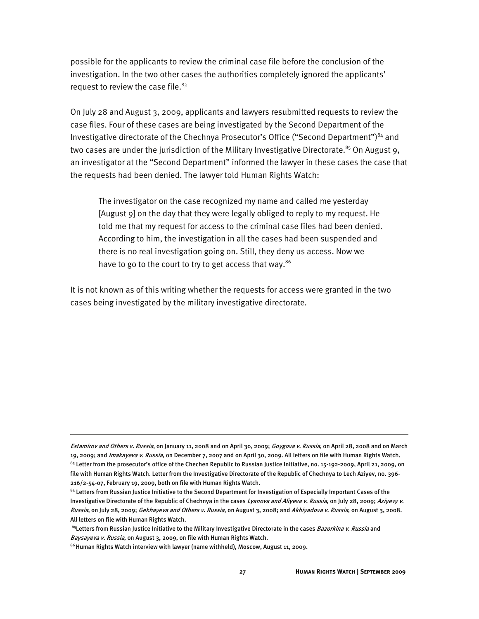possible for the applicants to review the criminal case file before the conclusion of the investigation. In the two other cases the authorities completely ignored the applicants' request to review the case file. $83$ 

On July 28 and August 3, 2009, applicants and lawyers resubmitted requests to review the case files. Four of these cases are being investigated by the Second Department of the Investigative directorate of the Chechnya Prosecutor's Office ("Second Department")<sup>84</sup> and two cases are under the jurisdiction of the Military Investigative Directorate.<sup>85</sup> On August 9, an investigator at the "Second Department" informed the lawyer in these cases the case that the requests had been denied. The lawyer told Human Rights Watch:

The investigator on the case recognized my name and called me yesterday [August 9] on the day that they were legally obliged to reply to my request. He told me that my request for access to the criminal case files had been denied. According to him, the investigation in all the cases had been suspended and there is no real investigation going on. Still, they deny us access. Now we have to go to the court to try to get access that way.<sup>86</sup>

It is not known as of this writing whether the requests for access were granted in the two cases being investigated by the military investigative directorate.

Estamirov and Others v. Russia, on January 11, 2008 and on April 30, 2009; Goygova v. Russia, on April 28, 2008 and on March 19, 2009; and Imakayeva v. Russia, on December 7, 2007 and on April 30, 2009. All letters on file with Human Rights Watch. <sup>83</sup> Letter from the prosecutor's office of the Chechen Republic to Russian Justice Initiative, no. 15-192-2009, April 21, 2009, on file with Human Rights Watch. Letter from the Investigative Directorate of the Republic of Chechnya to Lech Aziyev, no. 396- 216/2-54-07, February 19, 2009, both on file with Human Rights Watch.

<sup>&</sup>lt;sup>84</sup> Letters from Russian Justice Initiative to the Second Department for Investigation of Especially Important Cases of the Investigative Directorate of the Republic of Chechnya in the cases Lyanova and Aliyeva v. Russia, on July 28, 2009; Aziyevy v. Russia, on July 28, 2009; Gekhayeva and Others v. Russia, on August 3, 2008; and Akhiyadova v. Russia, on August 3, 2008. All letters on file with Human Rights Watch.

<sup>&</sup>lt;sup>85</sup>Letters from Russian Justice Initiative to the Military Investigative Directorate in the cases *Bazorkina v. Russia* and Baysayeva v. Russia, on August 3, 2009, on file with Human Rights Watch.

<sup>86</sup> Human Rights Watch interview with lawyer (name withheld), Moscow, August 11, 2009.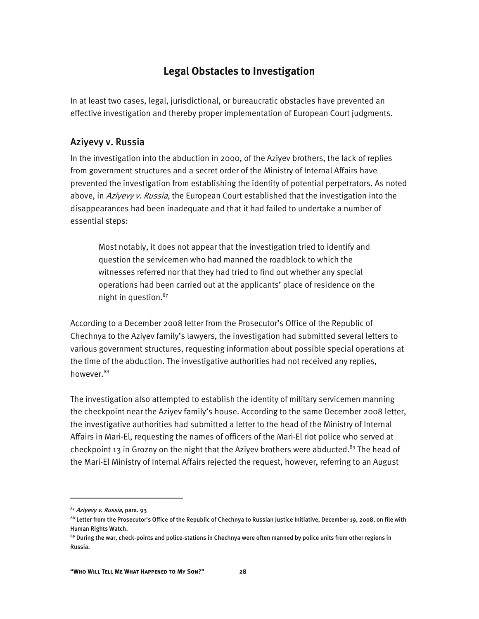#### **Legal Obstacles to Investigation**

In at least two cases, legal, jurisdictional, or bureaucratic obstacles have prevented an effective investigation and thereby proper implementation of European Court judgments.

#### Aziyevy v. Russia

In the investigation into the abduction in 2000, of the Aziyev brothers, the lack of replies from government structures and a secret order of the Ministry of Internal Affairs have prevented the investigation from establishing the identity of potential perpetrators. As noted above, in Aziyevy v. Russia, the European Court established that the investigation into the disappearances had been inadequate and that it had failed to undertake a number of essential steps:

Most notably, it does not appear that the investigation tried to identify and question the servicemen who had manned the roadblock to which the witnesses referred nor that they had tried to find out whether any special operations had been carried out at the applicants' place of residence on the night in question.<sup>87</sup>

According to a December 2008 letter from the Prosecutor's Office of the Republic of Chechnya to the Aziyev family's lawyers, the investigation had submitted several letters to various government structures, requesting information about possible special operations at the time of the abduction. The investigative authorities had not received any replies, however.<sup>88</sup>

The investigation also attempted to establish the identity of military servicemen manning the checkpoint near the Aziyev family's house. According to the same December 2008 letter, the investigative authorities had submitted a letter to the head of the Ministry of Internal Affairs in Mari-El, requesting the names of officers of the Mari-El riot police who served at checkpoint 13 in Grozny on the night that the Aziyev brothers were abducted.<sup>89</sup> The head of the Mari-El Ministry of Internal Affairs rejected the request, however, referring to an August

<sup>87</sup> Aziyevy v. Russia, para. 93

<sup>88</sup> Letter from the Prosecutor's Office of the Republic of Chechnya to Russian Justice Initiative, December 19, 2008, on file with Human Rights Watch.

<sup>&</sup>lt;sup>89</sup> During the war, check-points and police-stations in Chechnya were often manned by police units from other regions in Russia.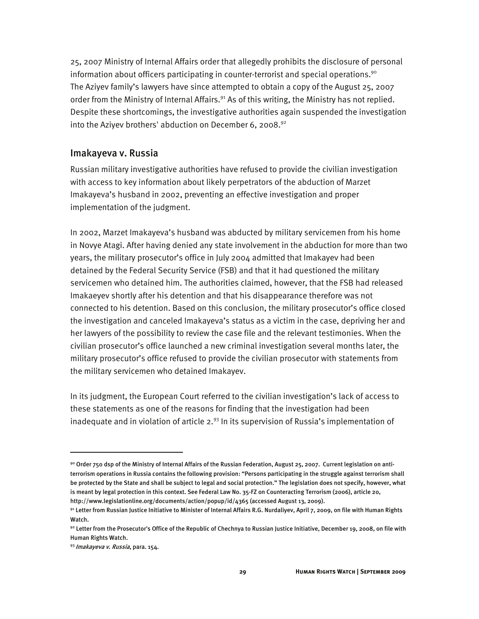25, 2007 Ministry of Internal Affairs order that allegedly prohibits the disclosure of personal information about officers participating in counter-terrorist and special operations.<sup>90</sup> The Aziyev family's lawyers have since attempted to obtain a copy of the August 25, 2007 order from the Ministry of Internal Affairs.<sup>91</sup> As of this writing, the Ministry has not replied. Despite these shortcomings, the investigative authorities again suspended the investigation into the Aziyev brothers' abduction on December 6, 2008.<sup>92</sup>

#### Imakayeva v. Russia

Russian military investigative authorities have refused to provide the civilian investigation with access to key information about likely perpetrators of the abduction of Marzet Imakayeva's husband in 2002, preventing an effective investigation and proper implementation of the judgment.

In 2002, Marzet Imakayeva's husband was abducted by military servicemen from his home in Novye Atagi. After having denied any state involvement in the abduction for more than two years, the military prosecutor's office in July 2004 admitted that Imakayev had been detained by the Federal Security Service (FSB) and that it had questioned the military servicemen who detained him. The authorities claimed, however, that the FSB had released Imakaeyev shortly after his detention and that his disappearance therefore was not connected to his detention. Based on this conclusion, the military prosecutor's office closed the investigation and canceled Imakayeva's status as a victim in the case, depriving her and her lawyers of the possibility to review the case file and the relevant testimonies. When the civilian prosecutor's office launched a new criminal investigation several months later, the military prosecutor's office refused to provide the civilian prosecutor with statements from the military servicemen who detained Imakayev.

In its judgment, the European Court referred to the civilian investigation's lack of access to these statements as one of the reasons for finding that the investigation had been inadequate and in violation of article  $2.^{93}$  In its supervision of Russia's implementation of

ֺ

<sup>90</sup> Order 750 dsp of the Ministry of Internal Affairs of the Russian Federation, August 25, 2007. Current legislation on antiterrorism operations in Russia contains the following provision: "Persons participating in the struggle against terrorism shall be protected by the State and shall be subject to legal and social protection." The legislation does not specify, however, what is meant by legal protection in this context. See Federal Law No. 35-FZ on Counteracting Terrorism (2006), article 20, http://www.legislationline.org/documents/action/popup/id/4365 (accessed August 13, 2009).

<sup>91</sup> Letter from Russian Justice Initiative to Minister of Internal Affairs R.G. Nurdaliyev, April 7, 2009, on file with Human Rights Watch.

<sup>92</sup> Letter from the Prosecutor's Office of the Republic of Chechnya to Russian Justice Initiative, December 19, 2008, on file with Human Rights Watch.

<sup>93</sup> Imakayeva v. Russia, para. 154.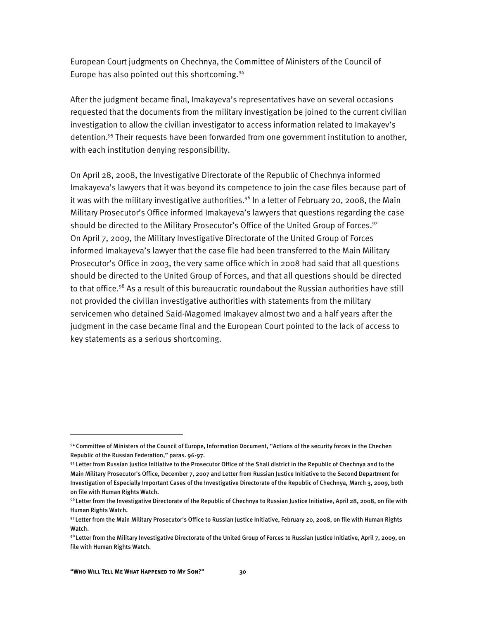European Court judgments on Chechnya, the Committee of Ministers of the Council of Europe has also pointed out this shortcoming.<sup>94</sup>

After the judgment became final, Imakayeva's representatives have on several occasions requested that the documents from the military investigation be joined to the current civilian investigation to allow the civilian investigator to access information related to Imakayev's detention.<sup>95</sup> Their requests have been forwarded from one government institution to another, with each institution denying responsibility.

On April 28, 2008, the Investigative Directorate of the Republic of Chechnya informed Imakayeva's lawyers that it was beyond its competence to join the case files because part of it was with the military investigative authorities.<sup>96</sup> In a letter of February 20, 2008, the Main Military Prosecutor's Office informed Imakayeva's lawyers that questions regarding the case should be directed to the Military Prosecutor's Office of the United Group of Forces.<sup>97</sup> On April 7, 2009, the Military Investigative Directorate of the United Group of Forces informed Imakayeva's lawyer that the case file had been transferred to the Main Military Prosecutor's Office in 2003, the very same office which in 2008 had said that all questions should be directed to the United Group of Forces, and that all questions should be directed to that office.<sup>98</sup> As a result of this bureaucratic roundabout the Russian authorities have still not provided the civilian investigative authorities with statements from the military servicemen who detained Said-Magomed Imakayev almost two and a half years after the judgment in the case became final and the European Court pointed to the lack of access to key statements as a serious shortcoming.

<sup>94</sup> Committee of Ministers of the Council of Europe, Information Document, "Actions of the security forces in the Chechen Republic of the Russian Federation," paras. 96-97.

<sup>95</sup> Letter from Russian Justice Initiative to the Prosecutor Office of the Shali district in the Republic of Chechnya and to the Main Military Prosecutor's Office, December 7, 2007 and Letter from Russian Justice Initiative to the Second Department for Investigation of Especially Important Cases of the Investigative Directorate of the Republic of Chechnya, March 3, 2009, both on file with Human Rights Watch.

<sup>96</sup> Letter from the Investigative Directorate of the Republic of Chechnya to Russian Justice Initiative, April 28, 2008, on file with Human Rights Watch.

<sup>97</sup> Letter from the Main Military Prosecutor's Office to Russian Justice Initiative, February 20, 2008, on file with Human Rights Watch.

<sup>98</sup> Letter from the Military Investigative Directorate of the United Group of Forces to Russian Justice Initiative, April 7, 2009, on file with Human Rights Watch.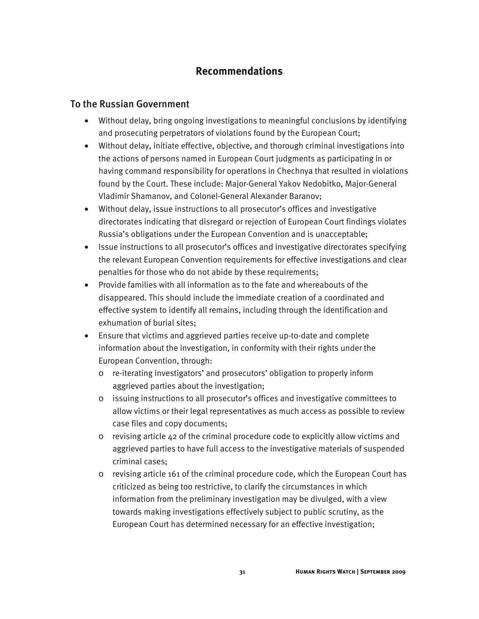#### **Recommendations**

#### To the Russian Government

- Without delay, bring ongoing investigations to meaningful conclusions by identifying and prosecuting perpetrators of violations found by the European Court;
- Without delay, initiate effective, objective, and thorough criminal investigations into the actions of persons named in European Court judgments as participating in or having command responsibility for operations in Chechnya that resulted in violations found by the Court. These include: Major-General Yakov Nedobitko, Major-General Vladimir Shamanov, and Colonel-General Alexander Baranov;
- Without delay, issue instructions to all prosecutor's offices and investigative directorates indicating that disregard or rejection of European Court findings violates Russia's obligations under the European Convention and is unacceptable;
- Issue instructions to all prosecutor's offices and investigative directorates specifying the relevant European Convention requirements for effective investigations and clear penalties for those who do not abide by these requirements;
- Provide families with all information as to the fate and whereabouts of the disappeared. This should include the immediate creation of a coordinated and effective system to identify all remains, including through the identification and exhumation of burial sites;
- Ensure that victims and aggrieved parties receive up-to-date and complete information about the investigation, in conformity with their rights under the European Convention, through:
	- o re-iterating investigators' and prosecutors' obligation to properly inform aggrieved parties about the investigation;
	- o issuing instructions to all prosecutor's offices and investigative committees to allow victims or their legal representatives as much access as possible to review case files and copy documents;
	- o revising article 42 of the criminal procedure code to explicitly allow victims and aggrieved parties to have full access to the investigative materials of suspended criminal cases;
	- o revising article 161 of the criminal procedure code, which the European Court has criticized as being too restrictive, to clarify the circumstances in which information from the preliminary investigation may be divulged, with a view towards making investigations effectively subject to public scrutiny, as the European Court has determined necessary for an effective investigation;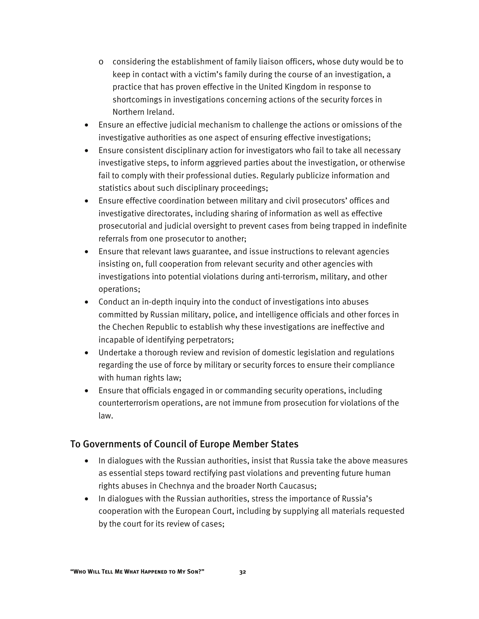- o considering the establishment of family liaison officers, whose duty would be to keep in contact with a victim's family during the course of an investigation, a practice that has proven effective in the United Kingdom in response to shortcomings in investigations concerning actions of the security forces in Northern Ireland.
- Ensure an effective judicial mechanism to challenge the actions or omissions of the investigative authorities as one aspect of ensuring effective investigations;
- Ensure consistent disciplinary action for investigators who fail to take all necessary investigative steps, to inform aggrieved parties about the investigation, or otherwise fail to comply with their professional duties. Regularly publicize information and statistics about such disciplinary proceedings;
- Ensure effective coordination between military and civil prosecutors' offices and investigative directorates, including sharing of information as well as effective prosecutorial and judicial oversight to prevent cases from being trapped in indefinite referrals from one prosecutor to another;
- Ensure that relevant laws guarantee, and issue instructions to relevant agencies insisting on, full cooperation from relevant security and other agencies with investigations into potential violations during anti-terrorism, military, and other operations;
- Conduct an in-depth inquiry into the conduct of investigations into abuses committed by Russian military, police, and intelligence officials and other forces in the Chechen Republic to establish why these investigations are ineffective and incapable of identifying perpetrators;
- Undertake a thorough review and revision of domestic legislation and regulations regarding the use of force by military or security forces to ensure their compliance with human rights law;
- Ensure that officials engaged in or commanding security operations, including counterterrorism operations, are not immune from prosecution for violations of the law.

#### To Governments of Council of Europe Member States

- In dialogues with the Russian authorities, insist that Russia take the above measures as essential steps toward rectifying past violations and preventing future human rights abuses in Chechnya and the broader North Caucasus;
- In dialogues with the Russian authorities, stress the importance of Russia's cooperation with the European Court, including by supplying all materials requested by the court for its review of cases;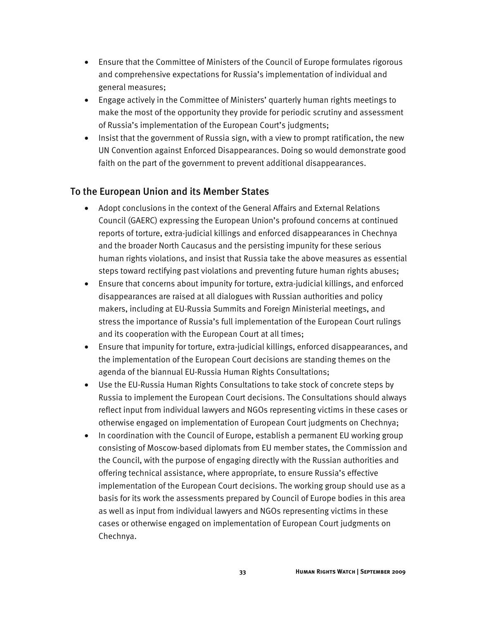- Ensure that the Committee of Ministers of the Council of Europe formulates rigorous and comprehensive expectations for Russia's implementation of individual and general measures;
- Engage actively in the Committee of Ministers' quarterly human rights meetings to make the most of the opportunity they provide for periodic scrutiny and assessment of Russia's implementation of the European Court's judgments;
- Insist that the government of Russia sign, with a view to prompt ratification, the new UN Convention against Enforced Disappearances. Doing so would demonstrate good faith on the part of the government to prevent additional disappearances.

#### To the European Union and its Member States

- Adopt conclusions in the context of the General Affairs and External Relations Council (GAERC) expressing the European Union's profound concerns at continued reports of torture, extra-judicial killings and enforced disappearances in Chechnya and the broader North Caucasus and the persisting impunity for these serious human rights violations, and insist that Russia take the above measures as essential steps toward rectifying past violations and preventing future human rights abuses;
- Ensure that concerns about impunity for torture, extra-judicial killings, and enforced disappearances are raised at all dialogues with Russian authorities and policy makers, including at EU-Russia Summits and Foreign Ministerial meetings, and stress the importance of Russia's full implementation of the European Court rulings and its cooperation with the European Court at all times;
- Ensure that impunity for torture, extra-judicial killings, enforced disappearances, and the implementation of the European Court decisions are standing themes on the agenda of the biannual EU-Russia Human Rights Consultations;
- Use the EU-Russia Human Rights Consultations to take stock of concrete steps by Russia to implement the European Court decisions. The Consultations should always reflect input from individual lawyers and NGOs representing victims in these cases or otherwise engaged on implementation of European Court judgments on Chechnya;
- In coordination with the Council of Europe, establish a permanent EU working group consisting of Moscow-based diplomats from EU member states, the Commission and the Council, with the purpose of engaging directly with the Russian authorities and offering technical assistance, where appropriate, to ensure Russia's effective implementation of the European Court decisions. The working group should use as a basis for its work the assessments prepared by Council of Europe bodies in this area as well as input from individual lawyers and NGOs representing victims in these cases or otherwise engaged on implementation of European Court judgments on Chechnya.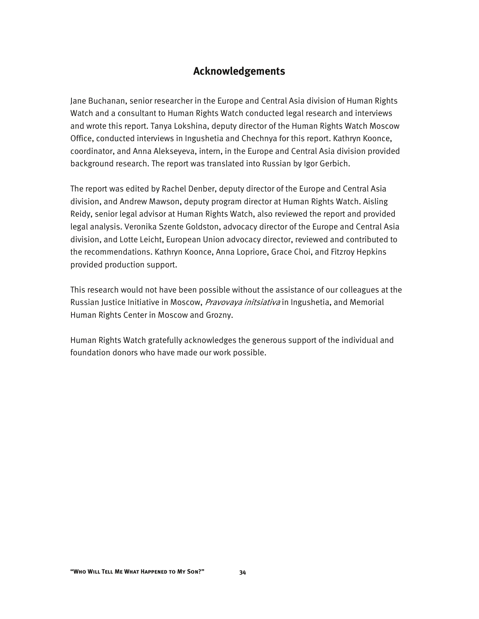#### **Acknowledgements**

Jane Buchanan, senior researcher in the Europe and Central Asia division of Human Rights Watch and a consultant to Human Rights Watch conducted legal research and interviews and wrote this report. Tanya Lokshina, deputy director of the Human Rights Watch Moscow Office, conducted interviews in Ingushetia and Chechnya for this report. Kathryn Koonce, coordinator, and Anna Alekseyeva, intern, in the Europe and Central Asia division provided background research. The report was translated into Russian by Igor Gerbich.

The report was edited by Rachel Denber, deputy director of the Europe and Central Asia division, and Andrew Mawson, deputy program director at Human Rights Watch. Aisling Reidy, senior legal advisor at Human Rights Watch, also reviewed the report and provided legal analysis. Veronika Szente Goldston, advocacy director of the Europe and Central Asia division, and Lotte Leicht, European Union advocacy director, reviewed and contributed to the recommendations. Kathryn Koonce, Anna Lopriore, Grace Choi, and Fitzroy Hepkins provided production support.

This research would not have been possible without the assistance of our colleagues at the Russian Justice Initiative in Moscow, *Pravovaya initsiativa* in Ingushetia, and Memorial Human Rights Center in Moscow and Grozny.

Human Rights Watch gratefully acknowledges the generous support of the individual and foundation donors who have made our work possible.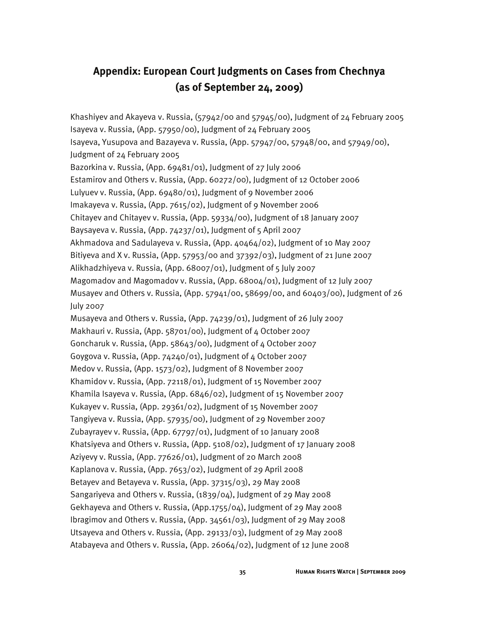# **Appendix: European Court Judgments on Cases from Chechnya (as of September 24, 2009)**

Khashiyev and Akayeva v. Russia,  $(57942/00$  and  $57945/00)$ , Judgment of 24 February 2005 Isayeva v. Russia, (App. 57950/00), Judgment of 24 February 2005 Isayeva, Yusupova and Bazayeva v. Russia, (App. 57947/00, 57948/00, and 57949/00), Judgment of 24 February 2005 Bazorkina v. Russia, (App. 69481/01), Judgment of 27 July 2006 Estamirov and Others v. Russia, (App. 60272/00), Judgment of 12 October 2006 Lulyuev v. Russia, (App. 69480/01), Judgment of 9 November 2006 Imakayeva v. Russia, (App. 7615/02), Judgment of 9 November 2006 Chitayev and Chitayev v. Russia, (App. 59334/00), Judgment of 18 January 2007 Baysayeva v. Russia, (App. 74237/01), Judgment of 5 April 2007 Akhmadova and Sadulayeva v. Russia, (App. 40464/02), Judgment of 10 May 2007 Bitiyeva and X v. Russia, (App. 57953/00 and 37392/03), Judgment of 21 June 2007 Alikhadzhiyeva v. Russia, (App. 68007/01), Judgment of 5 July 2007 Magomadov and Magomadov v. Russia, (App. 68004/01), Judgment of 12 July 2007 Musayev and Others v. Russia, (App. 57941/00, 58699/00, and 60403/00), Judgment of 26 July 2007 Musayeva and Others v. Russia, (App. 74239/01), Judgment of 26 July 2007 Makhauri v. Russia, (App. 58701/00), Judgment of 4 October 2007 Goncharuk v. Russia, (App. 58643/00), Judgment of 4 October 2007 Goygova v. Russia, (App. 74240/01), Judgment of 4 October 2007 Medov v. Russia, (App. 1573/02), Judgment of 8 November 2007 Khamidov v. Russia, (App. 72118/01), Judgment of 15 November 2007 Khamila Isayeva v. Russia, (App. 6846/02), Judgment of 15 November 2007 Kukayev v. Russia, (App. 29361/02), Judgment of 15 November 2007 Tangiyeva v. Russia, (App. 57935/00), Judgment of 29 November 2007 Zubayrayev v. Russia, (App. 67797/01), Judgment of 10 January 2008 Khatsiyeva and Others v. Russia, (App. 5108/02), Judgment of 17 January 2008 Aziyevy v. Russia, (App. 77626/01), Judgment of 20 March 2008 Kaplanova v. Russia, (App. 7653/02), Judgment of 29 April 2008 Betayev and Betayeva v. Russia, (App. 37315/03), 29 May 2008 Sangariyeva and Others v. Russia, (1839/04), Judgment of 29 May 2008 Gekhayeva and Others v. Russia, (App.1755/04), Judgment of 29 May 2008 Ibragimov and Others v. Russia, (App. 34561/03), Judgment of 29 May 2008 Utsayeva and Others v. Russia, (App. 29133/03), Judgment of 29 May 2008 Atabayeva and Others v. Russia, (App. 26064/02), Judgment of 12 June 2008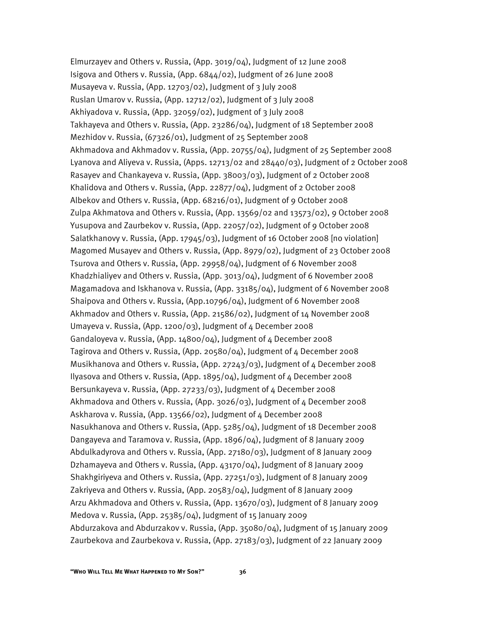Elmurzayev and Others v. Russia, (App. 3019/04), Judgment of 12 June 2008 Isigova and Others v. Russia, (App. 6844/02), Judgment of 26 June 2008 Musayeva v. Russia, (App. 12703/02), Judgment of 3 July 2008 Ruslan Umarov v. Russia, (App. 12712/02), Judgment of 3 July 2008 Akhiyadova v. Russia, (App. 32059/02), Judgment of 3 July 2008 Takhayeva and Others v. Russia, (App. 23286/04), Judgment of 18 September 2008 Mezhidov v. Russia, (67326/01), Judgment of 25 September 2008 Akhmadova and Akhmadov v. Russia, (App. 20755/04), Judgment of 25 September 2008 Lyanova and Aliyeva v. Russia, (Apps. 12713/02 and 28440/03), Judgment of 2 October 2008 Rasayev and Chankayeva v. Russia, (App. 38003/03), Judgment of 2 October 2008 Khalidova and Others v. Russia, (App. 22877/04), Judgment of 2 October 2008 Albekov and Others v. Russia, (App. 68216/01), Judgment of 9 October 2008 Zulpa Akhmatova and Others v. Russia, (App. 13569/02 and 13573/02), 9 October 2008 Yusupova and Zaurbekov v. Russia, (App. 22057/02), Judgment of 9 October 2008 Salatkhanovy v. Russia, (App. 17945/03), Judgment of 16 October 2008 [no violation] Magomed Musayev and Others v. Russia, (App. 8979/02), Judgment of 23 October 2008 Tsurova and Others v. Russia, (App. 29958/04), Judgment of 6 November 2008 Khadzhialiyev and Others v. Russia, (App. 3013/04), Judgment of 6 November 2008 Magamadova and Iskhanova v. Russia, (App. 33185/04), Judgment of 6 November 2008 Shaipova and Others v. Russia, (App.10796/04), Judgment of 6 November 2008 Akhmadov and Others v. Russia, (App. 21586/02), Judgment of 14 November 2008 Umayeva v. Russia, (App. 1200/03), Judgment of 4 December 2008 Gandaloyeva v. Russia, (App. 14800/04), Judgment of 4 December 2008 Tagirova and Others v. Russia, (App. 20580/04), Judgment of 4 December 2008 Musikhanova and Others v. Russia, (App. 27243/03), Judgment of 4 December 2008 Ilyasova and Others v. Russia, (App. 1895/04), Judgment of 4 December 2008 Bersunkayeva v. Russia, (App. 27233/03), Judgment of 4 December 2008 Akhmadova and Others v. Russia, (App. 3026/03), Judgment of 4 December 2008 Askharova v. Russia, (App. 13566/02), Judgment of 4 December 2008 Nasukhanova and Others v. Russia, (App. 5285/04), Judgment of 18 December 2008 Dangayeva and Taramova v. Russia, (App. 1896/04), Judgment of 8 January 2009 Abdulkadyrova and Others v. Russia, (App. 27180/03), Judgment of 8 January 2009 Dzhamayeva and Others v. Russia, (App. 43170/04), Judgment of 8 January 2009 Shakhgiriyeva and Others v. Russia, (App. 27251/03), Judgment of 8 January 2009 Zakriyeva and Others v. Russia, (App. 20583/04), Judgment of 8 January 2009 Arzu Akhmadova and Others v. Russia, (App. 13670/03), Judgment of 8 January 2009 Medova v. Russia, (App. 25385/04), Judgment of 15 January 2009 Abdurzakova and Abdurzakov v. Russia, (App. 35080/04), Judgment of 15 January 2009 Zaurbekova and Zaurbekova v. Russia, (App. 27183/03), Judgment of 22 January 2009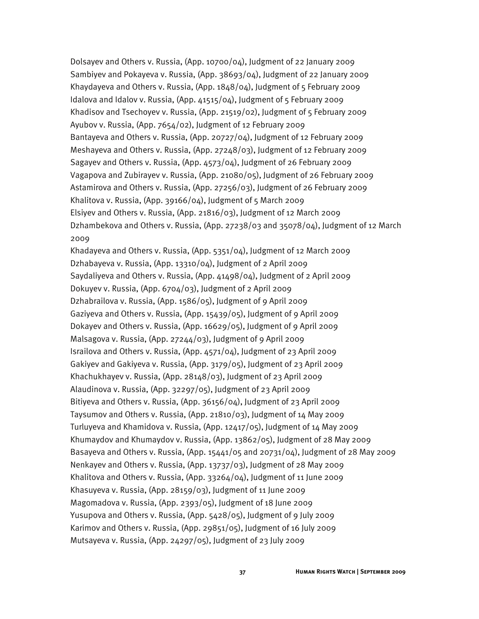Dolsayev and Others v. Russia,  $(App. 10700/O4)$ , Judgment of 22 January 2009 Sambiyev and Pokayeva v. Russia, (App. 38693/04), Judgment of 22 January 2009 Khaydayeva and Others v. Russia, (App. 1848/04), Judgment of 5 February 2009 Idalova and Idalov v. Russia, (App. 41515/04), Judgment of 5 February 2009 Khadisov and Tsechoyev v. Russia, (App. 21519/02), Judgment of 5 February 2009 Ayubov v. Russia, (App. 7654/02), Judgment of 12 February 2009 Bantayeva and Others v. Russia, (App. 20727/04), Judgment of 12 February 2009 Meshayeva and Others v. Russia, (App. 27248/03), Judgment of 12 February 2009 Sagayev and Others v. Russia, (App. 4573/04), Judgment of 26 February 2009 Vagapova and Zubirayev v. Russia, (App. 21080/05), Judgment of 26 February 2009 Astamirova and Others v. Russia, (App. 27256/03), Judgment of 26 February 2009 Khalitova v. Russia, (App. 39166/04), Judgment of 5 March 2009 Elsiyev and Others v. Russia, (App. 21816/03), Judgment of 12 March 2009 Dzhambekova and Others v. Russia, (App. 27238/03 and 35078/04), Judgment of 12 March 2009

Khadayeva and Others v. Russia, (App. 5351/04), Judgment of 12 March 2009 Dzhabayeva v. Russia, (App. 13310/04), Judgment of 2 April 2009 Saydaliyeva and Others v. Russia, (App. 41498/04), Judgment of 2 April 2009 Dokuyev v. Russia, (App. 6704/03), Judgment of 2 April 2009 Dzhabrailova v. Russia, (App. 1586/05), Judgment of 9 April 2009 Gaziyeva and Others v. Russia, (App. 15439/05), Judgment of 9 April 2009 Dokayev and Others v. Russia, (App. 16629/05), Judgment of 9 April 2009 Malsagova v. Russia, (App. 27244/03), Judgment of 9 April 2009 Israilova and Others v. Russia, (App. 4571/04), Judgment of 23 April 2009 Gakiyev and Gakiyeva v. Russia, (App. 3179/05), Judgment of 23 April 2009 Khachukhayev v. Russia, (App. 28148/03), Judgment of 23 April 2009 Alaudinova v. Russia, (App. 32297/05), Judgment of 23 April 2009 Bitiyeva and Others v. Russia, (App. 36156/04), Judgment of 23 April 2009 Taysumov and Others v. Russia, (App. 21810/03), Judgment of 14 May 2009 Turluyeva and Khamidova v. Russia, (App. 12417/05), Judgment of 14 May 2009 Khumaydov and Khumaydov v. Russia, (App. 13862/05), Judgment of 28 May 2009 Basayeva and Others v. Russia, (App. 15441/05 and 20731/04), Judgment of 28 May 2009 Nenkayev and Others v. Russia, (App. 13737/03), Judgment of 28 May 2009 Khalitova and Others v. Russia, (App. 33264/04), Judgment of 11 June 2009 Khasuyeva v. Russia, (App. 28159/03), Judgment of 11 June 2009 Magomadova v. Russia, (App. 2393/05), Judgment of 18 June 2009 Yusupova and Others v. Russia, (App. 5428/05), Judgment of 9 July 2009 Karimov and Others v. Russia, (App. 29851/05), Judgment of 16 July 2009 Mutsayeva v. Russia, (App. 24297/05), Judgment of 23 July 2009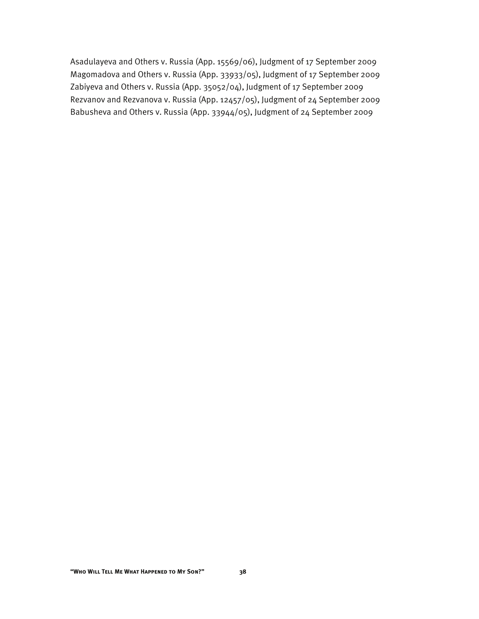Asadulayeva and Others v. Russia (App. 15569/06), Judgment of 17 September 2009 Magomadova and Others v. Russia (App. 33933/05), Judgment of 17 September 2009 Zabiyeva and Others v. Russia (App. 35052/04), Judgment of 17 September 2009 Rezvanov and Rezvanova v. Russia (App. 12457/05), Judgment of 24 September 2009 Babusheva and Others v. Russia (App. 33944/05), Judgment of 24 September 2009